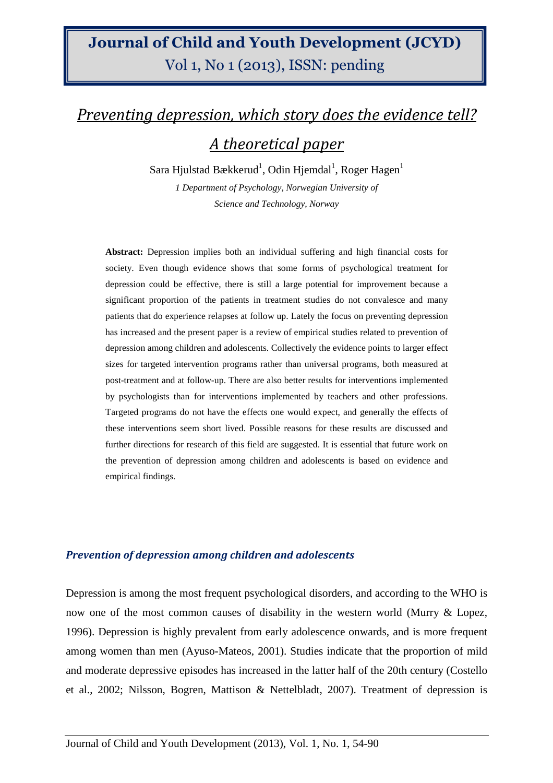## Journal of Child and Youth Development (JCYD) Vol 1, No 1 (2013), ISSN: pending

# Preventing depression, which story does the evidence tell? A theoretical paper

Sara Hjulstad Bækkerud $^1$ , Odin Hjemdal $^1$ , Roger Hagen $^1$ 

*1 Department of Psychology, Norwegian University of Science and Technology, Norway* 

**Abstract:** Depression implies both an individual suffering and high financial costs for society. Even though evidence shows that some forms of psychological treatment for depression could be effective, there is still a large potential for improvement because a significant proportion of the patients in treatment studies do not convalesce and many patients that do experience relapses at follow up. Lately the focus on preventing depression has increased and the present paper is a review of empirical studies related to prevention of depression among children and adolescents. Collectively the evidence points to larger effect sizes for targeted intervention programs rather than universal programs, both measured at post-treatment and at follow-up. There are also better results for interventions implemented by psychologists than for interventions implemented by teachers and other professions. Targeted programs do not have the effects one would expect, and generally the effects of these interventions seem short lived. Possible reasons for these results are discussed and further directions for research of this field are suggested. It is essential that future work on the prevention of depression among children and adolescents is based on evidence and empirical findings.

#### Prevention of depression among children and adolescents

Depression is among the most frequent psychological disorders, and according to the WHO is now one of the most common causes of disability in the western world (Murry & Lopez, 1996). Depression is highly prevalent from early adolescence onwards, and is more frequent among women than men (Ayuso-Mateos, 2001). Studies indicate that the proportion of mild and moderate depressive episodes has increased in the latter half of the 20th century (Costello et al., 2002; Nilsson, Bogren, Mattison & Nettelbladt, 2007). Treatment of depression is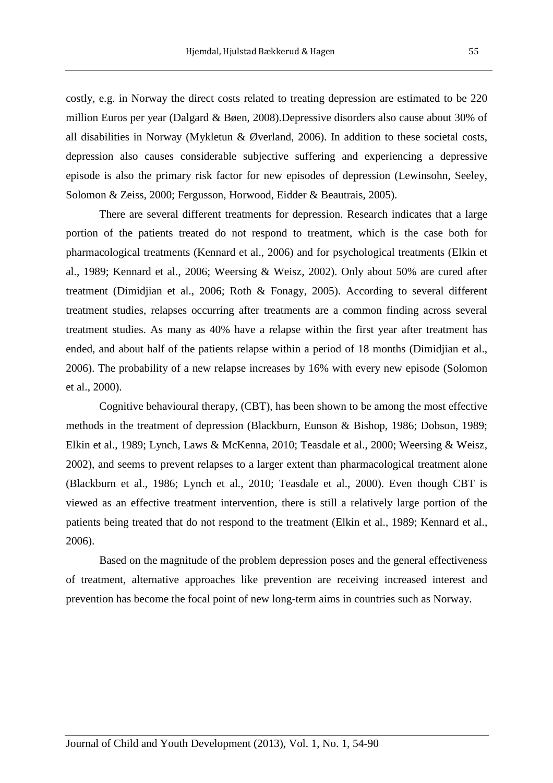costly, e.g. in Norway the direct costs related to treating depression are estimated to be 220 million Euros per year (Dalgard & Bøen, 2008).Depressive disorders also cause about 30% of all disabilities in Norway (Mykletun & Øverland, 2006). In addition to these societal costs, depression also causes considerable subjective suffering and experiencing a depressive episode is also the primary risk factor for new episodes of depression (Lewinsohn, Seeley, Solomon & Zeiss, 2000; Fergusson, Horwood, Eidder & Beautrais, 2005).

 There are several different treatments for depression. Research indicates that a large portion of the patients treated do not respond to treatment, which is the case both for pharmacological treatments (Kennard et al., 2006) and for psychological treatments (Elkin et al., 1989; Kennard et al., 2006; Weersing & Weisz, 2002). Only about 50% are cured after treatment (Dimidjian et al., 2006; Roth & Fonagy, 2005). According to several different treatment studies, relapses occurring after treatments are a common finding across several treatment studies. As many as 40% have a relapse within the first year after treatment has ended, and about half of the patients relapse within a period of 18 months (Dimidjian et al., 2006). The probability of a new relapse increases by 16% with every new episode (Solomon et al., 2000).

 Cognitive behavioural therapy, (CBT), has been shown to be among the most effective methods in the treatment of depression (Blackburn, Eunson & Bishop, 1986; Dobson, 1989; Elkin et al., 1989; Lynch, Laws & McKenna, 2010; Teasdale et al., 2000; Weersing & Weisz, 2002), and seems to prevent relapses to a larger extent than pharmacological treatment alone (Blackburn et al., 1986; Lynch et al., 2010; Teasdale et al., 2000). Even though CBT is viewed as an effective treatment intervention, there is still a relatively large portion of the patients being treated that do not respond to the treatment (Elkin et al., 1989; Kennard et al., 2006).

 Based on the magnitude of the problem depression poses and the general effectiveness of treatment, alternative approaches like prevention are receiving increased interest and prevention has become the focal point of new long-term aims in countries such as Norway.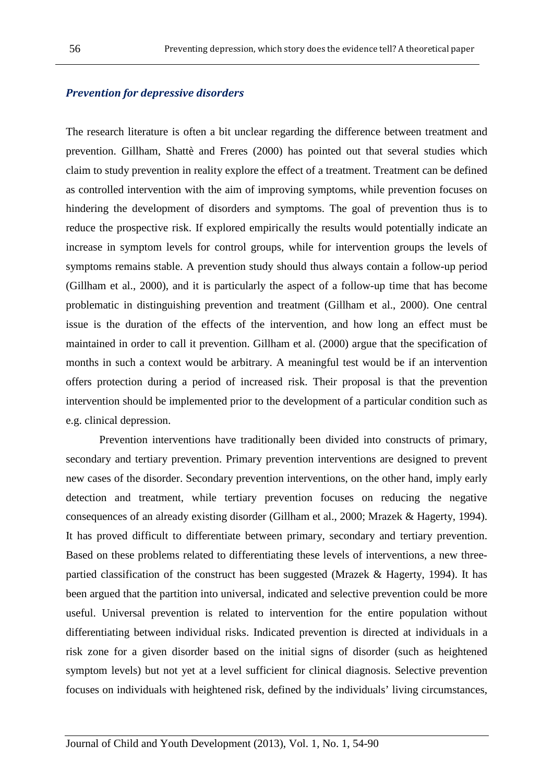#### Prevention for depressive disorders

The research literature is often a bit unclear regarding the difference between treatment and prevention. Gillham, Shattè and Freres (2000) has pointed out that several studies which claim to study prevention in reality explore the effect of a treatment. Treatment can be defined as controlled intervention with the aim of improving symptoms, while prevention focuses on hindering the development of disorders and symptoms. The goal of prevention thus is to reduce the prospective risk. If explored empirically the results would potentially indicate an increase in symptom levels for control groups, while for intervention groups the levels of symptoms remains stable. A prevention study should thus always contain a follow-up period (Gillham et al., 2000), and it is particularly the aspect of a follow-up time that has become problematic in distinguishing prevention and treatment (Gillham et al., 2000). One central issue is the duration of the effects of the intervention, and how long an effect must be maintained in order to call it prevention. Gillham et al. (2000) argue that the specification of months in such a context would be arbitrary. A meaningful test would be if an intervention offers protection during a period of increased risk. Their proposal is that the prevention intervention should be implemented prior to the development of a particular condition such as e.g. clinical depression.

 Prevention interventions have traditionally been divided into constructs of primary, secondary and tertiary prevention. Primary prevention interventions are designed to prevent new cases of the disorder. Secondary prevention interventions, on the other hand, imply early detection and treatment, while tertiary prevention focuses on reducing the negative consequences of an already existing disorder (Gillham et al., 2000; Mrazek & Hagerty, 1994). It has proved difficult to differentiate between primary, secondary and tertiary prevention. Based on these problems related to differentiating these levels of interventions, a new threepartied classification of the construct has been suggested (Mrazek & Hagerty, 1994). It has been argued that the partition into universal, indicated and selective prevention could be more useful. Universal prevention is related to intervention for the entire population without differentiating between individual risks. Indicated prevention is directed at individuals in a risk zone for a given disorder based on the initial signs of disorder (such as heightened symptom levels) but not yet at a level sufficient for clinical diagnosis. Selective prevention focuses on individuals with heightened risk, defined by the individuals' living circumstances,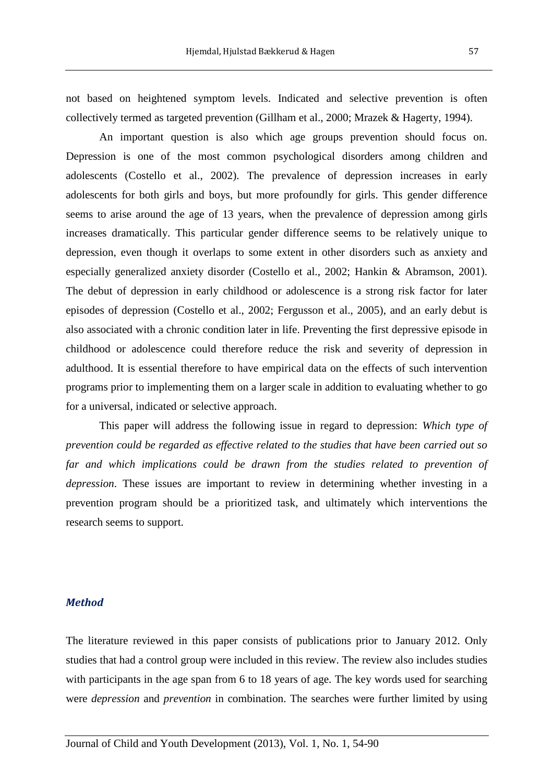not based on heightened symptom levels. Indicated and selective prevention is often collectively termed as targeted prevention (Gillham et al., 2000; Mrazek & Hagerty, 1994).

 An important question is also which age groups prevention should focus on. Depression is one of the most common psychological disorders among children and adolescents (Costello et al., 2002). The prevalence of depression increases in early adolescents for both girls and boys, but more profoundly for girls. This gender difference seems to arise around the age of 13 years, when the prevalence of depression among girls increases dramatically. This particular gender difference seems to be relatively unique to depression, even though it overlaps to some extent in other disorders such as anxiety and especially generalized anxiety disorder (Costello et al., 2002; Hankin & Abramson, 2001). The debut of depression in early childhood or adolescence is a strong risk factor for later episodes of depression (Costello et al., 2002; Fergusson et al., 2005), and an early debut is also associated with a chronic condition later in life. Preventing the first depressive episode in childhood or adolescence could therefore reduce the risk and severity of depression in adulthood. It is essential therefore to have empirical data on the effects of such intervention programs prior to implementing them on a larger scale in addition to evaluating whether to go for a universal, indicated or selective approach.

 This paper will address the following issue in regard to depression: *Which type of prevention could be regarded as effective related to the studies that have been carried out so far and which implications could be drawn from the studies related to prevention of depression*. These issues are important to review in determining whether investing in a prevention program should be a prioritized task, and ultimately which interventions the research seems to support.

#### Method

The literature reviewed in this paper consists of publications prior to January 2012. Only studies that had a control group were included in this review. The review also includes studies with participants in the age span from 6 to 18 years of age. The key words used for searching were *depression* and *prevention* in combination. The searches were further limited by using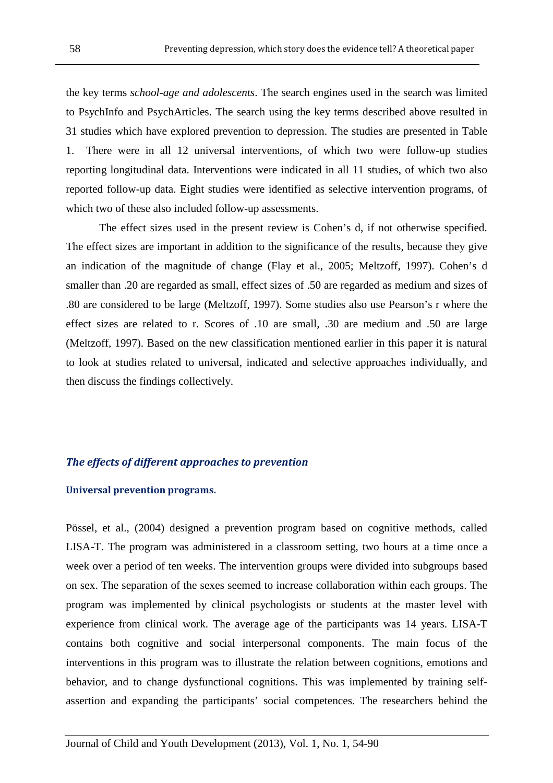the key terms *school-age and adolescents*. The search engines used in the search was limited to PsychInfo and PsychArticles. The search using the key terms described above resulted in 31 studies which have explored prevention to depression. The studies are presented in Table 1. There were in all 12 universal interventions, of which two were follow-up studies reporting longitudinal data. Interventions were indicated in all 11 studies, of which two also reported follow-up data. Eight studies were identified as selective intervention programs, of which two of these also included follow-up assessments.

 The effect sizes used in the present review is Cohen's d, if not otherwise specified. The effect sizes are important in addition to the significance of the results, because they give an indication of the magnitude of change (Flay et al., 2005; Meltzoff, 1997). Cohen's d smaller than .20 are regarded as small, effect sizes of .50 are regarded as medium and sizes of .80 are considered to be large (Meltzoff, 1997). Some studies also use Pearson's r where the effect sizes are related to r. Scores of .10 are small, .30 are medium and .50 are large (Meltzoff, 1997). Based on the new classification mentioned earlier in this paper it is natural to look at studies related to universal, indicated and selective approaches individually, and then discuss the findings collectively.

#### The effects of different approaches to prevention

#### Universal prevention programs.

Pössel, et al., (2004) designed a prevention program based on cognitive methods, called LISA-T. The program was administered in a classroom setting, two hours at a time once a week over a period of ten weeks. The intervention groups were divided into subgroups based on sex. The separation of the sexes seemed to increase collaboration within each groups. The program was implemented by clinical psychologists or students at the master level with experience from clinical work. The average age of the participants was 14 years. LISA-T contains both cognitive and social interpersonal components. The main focus of the interventions in this program was to illustrate the relation between cognitions, emotions and behavior, and to change dysfunctional cognitions. This was implemented by training selfassertion and expanding the participants' social competences. The researchers behind the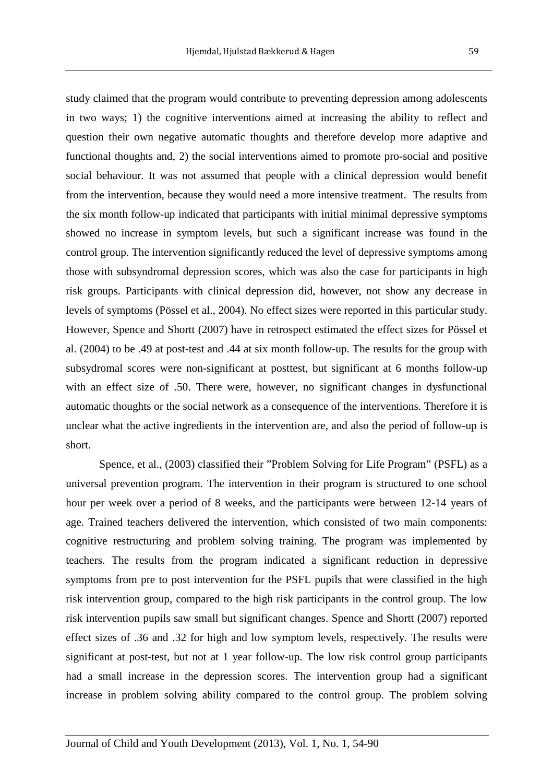study claimed that the program would contribute to preventing depression among adolescents in two ways; 1) the cognitive interventions aimed at increasing the ability to reflect and question their own negative automatic thoughts and therefore develop more adaptive and functional thoughts and, 2) the social interventions aimed to promote pro-social and positive social behaviour. It was not assumed that people with a clinical depression would benefit from the intervention, because they would need a more intensive treatment. The results from the six month follow-up indicated that participants with initial minimal depressive symptoms showed no increase in symptom levels, but such a significant increase was found in the control group. The intervention significantly reduced the level of depressive symptoms among those with subsyndromal depression scores, which was also the case for participants in high risk groups. Participants with clinical depression did, however, not show any decrease in levels of symptoms (Pössel et al., 2004). No effect sizes were reported in this particular study. However, Spence and Shortt (2007) have in retrospect estimated the effect sizes for Pössel et al. (2004) to be .49 at post-test and .44 at six month follow-up. The results for the group with subsydromal scores were non-significant at posttest, but significant at 6 months follow-up with an effect size of .50. There were, however, no significant changes in dysfunctional automatic thoughts or the social network as a consequence of the interventions. Therefore it is unclear what the active ingredients in the intervention are, and also the period of follow-up is short.

 Spence, et al., (2003) classified their "Problem Solving for Life Program" (PSFL) as a universal prevention program. The intervention in their program is structured to one school hour per week over a period of 8 weeks, and the participants were between 12-14 years of age. Trained teachers delivered the intervention, which consisted of two main components: cognitive restructuring and problem solving training. The program was implemented by teachers. The results from the program indicated a significant reduction in depressive symptoms from pre to post intervention for the PSFL pupils that were classified in the high risk intervention group, compared to the high risk participants in the control group. The low risk intervention pupils saw small but significant changes. Spence and Shortt (2007) reported effect sizes of .36 and .32 for high and low symptom levels, respectively. The results were significant at post-test, but not at 1 year follow-up. The low risk control group participants had a small increase in the depression scores. The intervention group had a significant increase in problem solving ability compared to the control group. The problem solving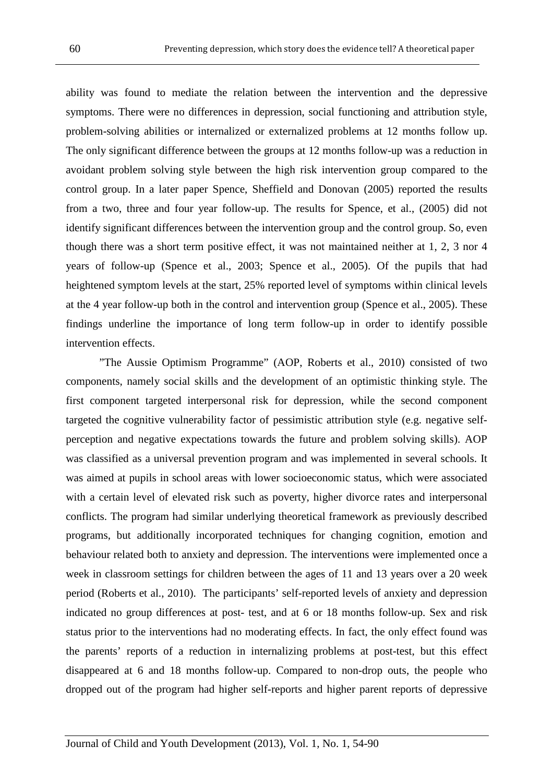ability was found to mediate the relation between the intervention and the depressive symptoms. There were no differences in depression, social functioning and attribution style, problem-solving abilities or internalized or externalized problems at 12 months follow up. The only significant difference between the groups at 12 months follow-up was a reduction in avoidant problem solving style between the high risk intervention group compared to the control group. In a later paper Spence, Sheffield and Donovan (2005) reported the results from a two, three and four year follow-up. The results for Spence, et al., (2005) did not identify significant differences between the intervention group and the control group. So, even though there was a short term positive effect, it was not maintained neither at 1, 2, 3 nor 4 years of follow-up (Spence et al., 2003; Spence et al., 2005). Of the pupils that had heightened symptom levels at the start, 25% reported level of symptoms within clinical levels at the 4 year follow-up both in the control and intervention group (Spence et al., 2005). These findings underline the importance of long term follow-up in order to identify possible intervention effects.

 "The Aussie Optimism Programme" (AOP, Roberts et al., 2010) consisted of two components, namely social skills and the development of an optimistic thinking style. The first component targeted interpersonal risk for depression, while the second component targeted the cognitive vulnerability factor of pessimistic attribution style (e.g. negative selfperception and negative expectations towards the future and problem solving skills). AOP was classified as a universal prevention program and was implemented in several schools. It was aimed at pupils in school areas with lower socioeconomic status, which were associated with a certain level of elevated risk such as poverty, higher divorce rates and interpersonal conflicts. The program had similar underlying theoretical framework as previously described programs, but additionally incorporated techniques for changing cognition, emotion and behaviour related both to anxiety and depression. The interventions were implemented once a week in classroom settings for children between the ages of 11 and 13 years over a 20 week period (Roberts et al., 2010). The participants' self-reported levels of anxiety and depression indicated no group differences at post- test, and at 6 or 18 months follow-up. Sex and risk status prior to the interventions had no moderating effects. In fact, the only effect found was the parents' reports of a reduction in internalizing problems at post-test, but this effect disappeared at 6 and 18 months follow-up. Compared to non-drop outs, the people who dropped out of the program had higher self-reports and higher parent reports of depressive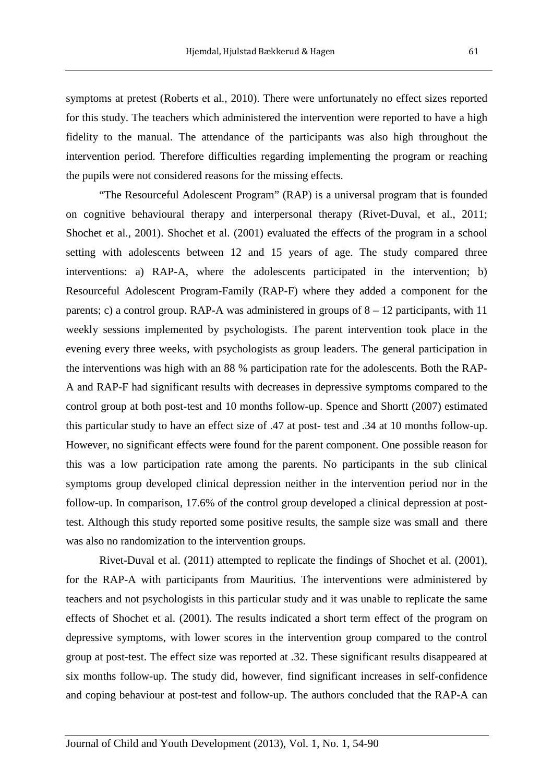symptoms at pretest (Roberts et al., 2010). There were unfortunately no effect sizes reported for this study. The teachers which administered the intervention were reported to have a high fidelity to the manual. The attendance of the participants was also high throughout the intervention period. Therefore difficulties regarding implementing the program or reaching the pupils were not considered reasons for the missing effects.

 "The Resourceful Adolescent Program" (RAP) is a universal program that is founded on cognitive behavioural therapy and interpersonal therapy (Rivet-Duval, et al., 2011; Shochet et al., 2001). Shochet et al. (2001) evaluated the effects of the program in a school setting with adolescents between 12 and 15 years of age. The study compared three interventions: a) RAP-A, where the adolescents participated in the intervention; b) Resourceful Adolescent Program-Family (RAP-F) where they added a component for the parents; c) a control group. RAP-A was administered in groups of  $8 - 12$  participants, with 11 weekly sessions implemented by psychologists. The parent intervention took place in the evening every three weeks, with psychologists as group leaders. The general participation in the interventions was high with an 88 % participation rate for the adolescents. Both the RAP-A and RAP-F had significant results with decreases in depressive symptoms compared to the control group at both post-test and 10 months follow-up. Spence and Shortt (2007) estimated this particular study to have an effect size of .47 at post- test and .34 at 10 months follow-up. However, no significant effects were found for the parent component. One possible reason for this was a low participation rate among the parents. No participants in the sub clinical symptoms group developed clinical depression neither in the intervention period nor in the follow-up. In comparison, 17.6% of the control group developed a clinical depression at posttest. Although this study reported some positive results, the sample size was small and there was also no randomization to the intervention groups.

 Rivet-Duval et al. (2011) attempted to replicate the findings of Shochet et al. (2001), for the RAP-A with participants from Mauritius. The interventions were administered by teachers and not psychologists in this particular study and it was unable to replicate the same effects of Shochet et al. (2001). The results indicated a short term effect of the program on depressive symptoms, with lower scores in the intervention group compared to the control group at post-test. The effect size was reported at .32. These significant results disappeared at six months follow-up. The study did, however, find significant increases in self-confidence and coping behaviour at post-test and follow-up. The authors concluded that the RAP-A can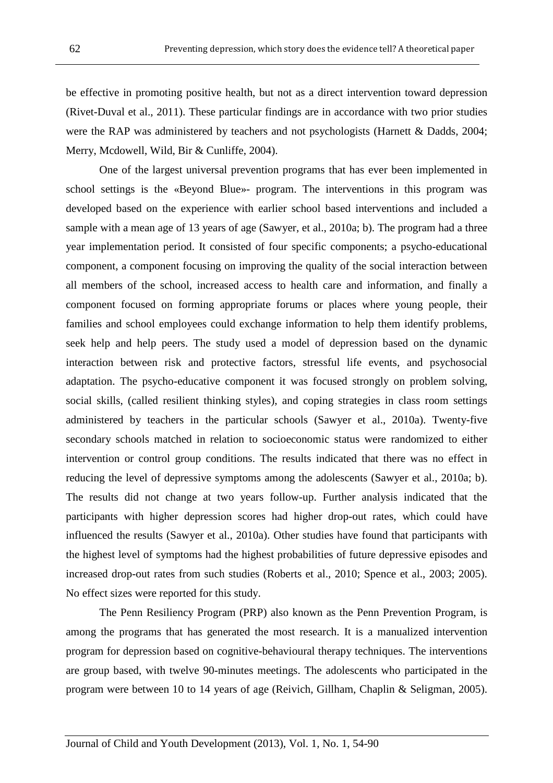be effective in promoting positive health, but not as a direct intervention toward depression (Rivet-Duval et al., 2011). These particular findings are in accordance with two prior studies were the RAP was administered by teachers and not psychologists (Harnett & Dadds, 2004; Merry, Mcdowell, Wild, Bir & Cunliffe, 2004).

 One of the largest universal prevention programs that has ever been implemented in school settings is the «Beyond Blue»- program. The interventions in this program was developed based on the experience with earlier school based interventions and included a sample with a mean age of 13 years of age (Sawyer, et al., 2010a; b). The program had a three year implementation period. It consisted of four specific components; a psycho-educational component, a component focusing on improving the quality of the social interaction between all members of the school, increased access to health care and information, and finally a component focused on forming appropriate forums or places where young people, their families and school employees could exchange information to help them identify problems, seek help and help peers. The study used a model of depression based on the dynamic interaction between risk and protective factors, stressful life events, and psychosocial adaptation. The psycho-educative component it was focused strongly on problem solving, social skills, (called resilient thinking styles), and coping strategies in class room settings administered by teachers in the particular schools (Sawyer et al., 2010a). Twenty-five secondary schools matched in relation to socioeconomic status were randomized to either intervention or control group conditions. The results indicated that there was no effect in reducing the level of depressive symptoms among the adolescents (Sawyer et al., 2010a; b). The results did not change at two years follow-up. Further analysis indicated that the participants with higher depression scores had higher drop-out rates, which could have influenced the results (Sawyer et al., 2010a). Other studies have found that participants with the highest level of symptoms had the highest probabilities of future depressive episodes and increased drop-out rates from such studies (Roberts et al., 2010; Spence et al., 2003; 2005). No effect sizes were reported for this study.

 The Penn Resiliency Program (PRP) also known as the Penn Prevention Program, is among the programs that has generated the most research. It is a manualized intervention program for depression based on cognitive-behavioural therapy techniques. The interventions are group based, with twelve 90-minutes meetings. The adolescents who participated in the program were between 10 to 14 years of age (Reivich, Gillham, Chaplin & Seligman, 2005).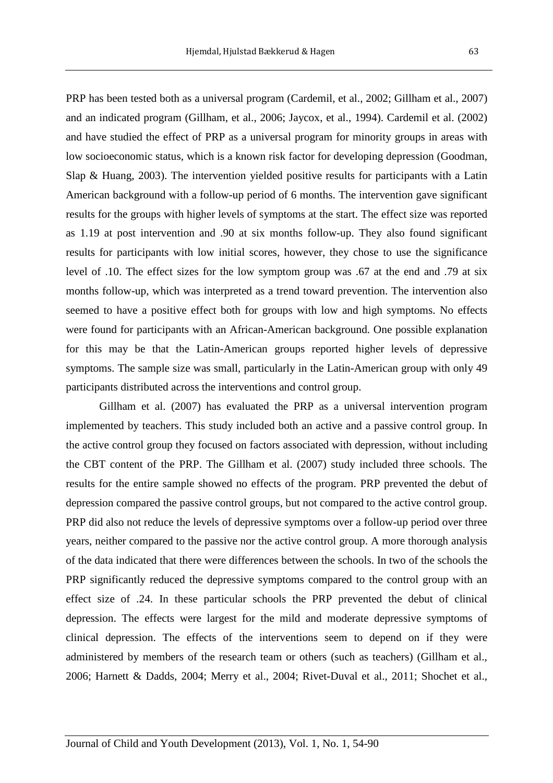PRP has been tested both as a universal program (Cardemil, et al., 2002; Gillham et al., 2007) and an indicated program (Gillham, et al., 2006; Jaycox, et al., 1994). Cardemil et al. (2002) and have studied the effect of PRP as a universal program for minority groups in areas with low socioeconomic status, which is a known risk factor for developing depression (Goodman, Slap & Huang, 2003). The intervention yielded positive results for participants with a Latin American background with a follow-up period of 6 months. The intervention gave significant results for the groups with higher levels of symptoms at the start. The effect size was reported as 1.19 at post intervention and .90 at six months follow-up. They also found significant results for participants with low initial scores, however, they chose to use the significance level of .10. The effect sizes for the low symptom group was .67 at the end and .79 at six months follow-up, which was interpreted as a trend toward prevention. The intervention also seemed to have a positive effect both for groups with low and high symptoms. No effects were found for participants with an African-American background. One possible explanation for this may be that the Latin-American groups reported higher levels of depressive symptoms. The sample size was small, particularly in the Latin-American group with only 49 participants distributed across the interventions and control group.

 Gillham et al. (2007) has evaluated the PRP as a universal intervention program implemented by teachers. This study included both an active and a passive control group. In the active control group they focused on factors associated with depression, without including the CBT content of the PRP. The Gillham et al. (2007) study included three schools. The results for the entire sample showed no effects of the program. PRP prevented the debut of depression compared the passive control groups, but not compared to the active control group. PRP did also not reduce the levels of depressive symptoms over a follow-up period over three years, neither compared to the passive nor the active control group. A more thorough analysis of the data indicated that there were differences between the schools. In two of the schools the PRP significantly reduced the depressive symptoms compared to the control group with an effect size of .24. In these particular schools the PRP prevented the debut of clinical depression. The effects were largest for the mild and moderate depressive symptoms of clinical depression. The effects of the interventions seem to depend on if they were administered by members of the research team or others (such as teachers) (Gillham et al., 2006; Harnett & Dadds, 2004; Merry et al., 2004; Rivet-Duval et al., 2011; Shochet et al.,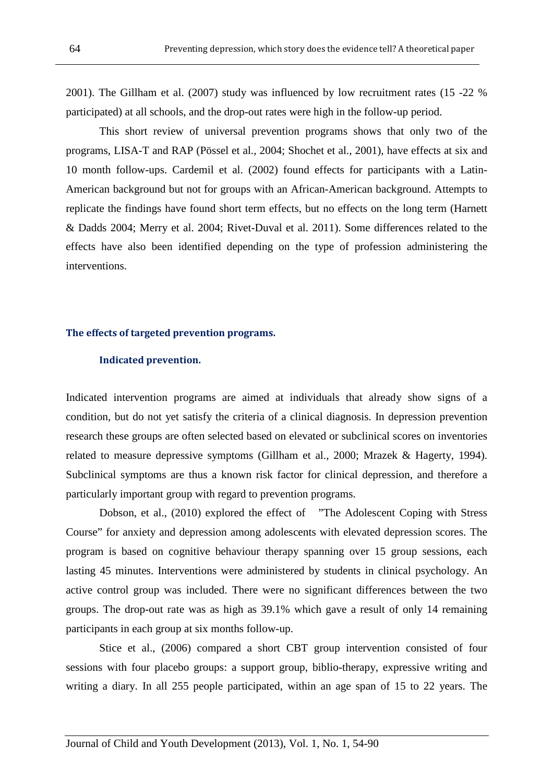2001). The Gillham et al. (2007) study was influenced by low recruitment rates (15 -22 % participated) at all schools, and the drop-out rates were high in the follow-up period.

 This short review of universal prevention programs shows that only two of the programs, LISA-T and RAP (Pössel et al., 2004; Shochet et al., 2001), have effects at six and 10 month follow-ups. Cardemil et al. (2002) found effects for participants with a Latin-American background but not for groups with an African-American background. Attempts to replicate the findings have found short term effects, but no effects on the long term (Harnett & Dadds 2004; Merry et al. 2004; Rivet-Duval et al. 2011). Some differences related to the effects have also been identified depending on the type of profession administering the interventions.

#### The effects of targeted prevention programs.

#### Indicated prevention.

Indicated intervention programs are aimed at individuals that already show signs of a condition, but do not yet satisfy the criteria of a clinical diagnosis. In depression prevention research these groups are often selected based on elevated or subclinical scores on inventories related to measure depressive symptoms (Gillham et al., 2000; Mrazek & Hagerty, 1994). Subclinical symptoms are thus a known risk factor for clinical depression, and therefore a particularly important group with regard to prevention programs.

 Dobson, et al., (2010) explored the effect of "The Adolescent Coping with Stress Course" for anxiety and depression among adolescents with elevated depression scores. The program is based on cognitive behaviour therapy spanning over 15 group sessions, each lasting 45 minutes. Interventions were administered by students in clinical psychology. An active control group was included. There were no significant differences between the two groups. The drop-out rate was as high as 39.1% which gave a result of only 14 remaining participants in each group at six months follow-up.

 Stice et al., (2006) compared a short CBT group intervention consisted of four sessions with four placebo groups: a support group, biblio-therapy, expressive writing and writing a diary. In all 255 people participated, within an age span of 15 to 22 years. The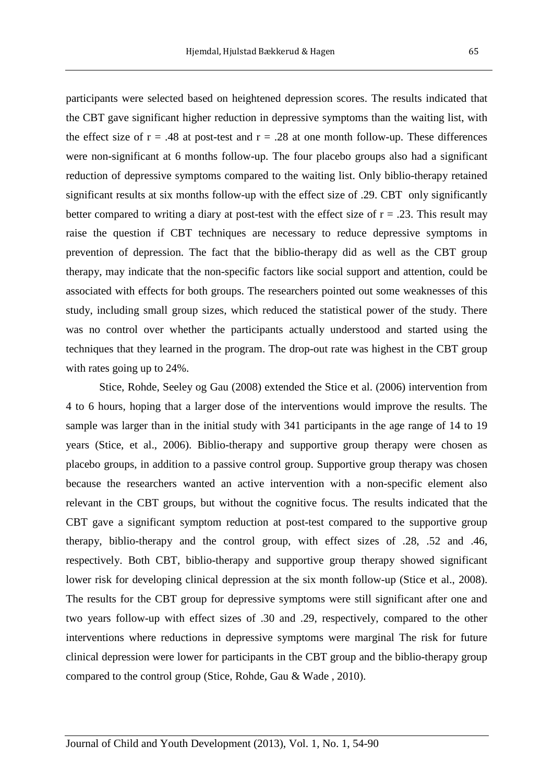participants were selected based on heightened depression scores. The results indicated that the CBT gave significant higher reduction in depressive symptoms than the waiting list, with the effect size of  $r = .48$  at post-test and  $r = .28$  at one month follow-up. These differences were non-significant at 6 months follow-up. The four placebo groups also had a significant reduction of depressive symptoms compared to the waiting list. Only biblio-therapy retained significant results at six months follow-up with the effect size of .29. CBT only significantly better compared to writing a diary at post-test with the effect size of  $r = .23$ . This result may raise the question if CBT techniques are necessary to reduce depressive symptoms in prevention of depression. The fact that the biblio-therapy did as well as the CBT group therapy, may indicate that the non-specific factors like social support and attention, could be associated with effects for both groups. The researchers pointed out some weaknesses of this study, including small group sizes, which reduced the statistical power of the study. There was no control over whether the participants actually understood and started using the techniques that they learned in the program. The drop-out rate was highest in the CBT group with rates going up to 24%.

 Stice, Rohde, Seeley og Gau (2008) extended the Stice et al. (2006) intervention from 4 to 6 hours, hoping that a larger dose of the interventions would improve the results. The sample was larger than in the initial study with 341 participants in the age range of 14 to 19 years (Stice, et al., 2006). Biblio-therapy and supportive group therapy were chosen as placebo groups, in addition to a passive control group. Supportive group therapy was chosen because the researchers wanted an active intervention with a non-specific element also relevant in the CBT groups, but without the cognitive focus. The results indicated that the CBT gave a significant symptom reduction at post-test compared to the supportive group therapy, biblio-therapy and the control group, with effect sizes of .28, .52 and .46, respectively. Both CBT, biblio-therapy and supportive group therapy showed significant lower risk for developing clinical depression at the six month follow-up (Stice et al., 2008). The results for the CBT group for depressive symptoms were still significant after one and two years follow-up with effect sizes of .30 and .29, respectively, compared to the other interventions where reductions in depressive symptoms were marginal The risk for future clinical depression were lower for participants in the CBT group and the biblio-therapy group compared to the control group (Stice, Rohde, Gau & Wade , 2010).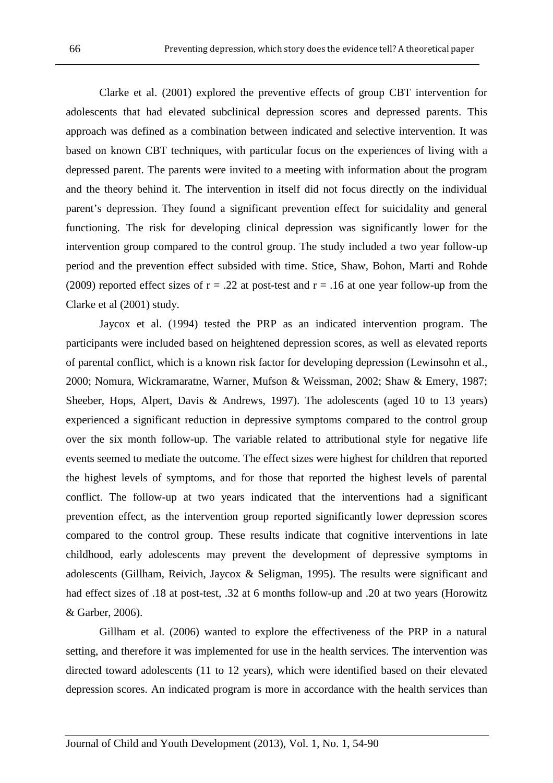Clarke et al. (2001) explored the preventive effects of group CBT intervention for adolescents that had elevated subclinical depression scores and depressed parents. This approach was defined as a combination between indicated and selective intervention. It was based on known CBT techniques, with particular focus on the experiences of living with a depressed parent. The parents were invited to a meeting with information about the program and the theory behind it. The intervention in itself did not focus directly on the individual parent's depression. They found a significant prevention effect for suicidality and general functioning. The risk for developing clinical depression was significantly lower for the intervention group compared to the control group. The study included a two year follow-up period and the prevention effect subsided with time. Stice, Shaw, Bohon, Marti and Rohde (2009) reported effect sizes of  $r = .22$  at post-test and  $r = .16$  at one year follow-up from the Clarke et al (2001) study.

 Jaycox et al. (1994) tested the PRP as an indicated intervention program. The participants were included based on heightened depression scores, as well as elevated reports of parental conflict, which is a known risk factor for developing depression (Lewinsohn et al., 2000; Nomura, Wickramaratne, Warner, Mufson & Weissman, 2002; Shaw & Emery, 1987; Sheeber, Hops, Alpert, Davis & Andrews, 1997). The adolescents (aged 10 to 13 years) experienced a significant reduction in depressive symptoms compared to the control group over the six month follow-up. The variable related to attributional style for negative life events seemed to mediate the outcome. The effect sizes were highest for children that reported the highest levels of symptoms, and for those that reported the highest levels of parental conflict. The follow-up at two years indicated that the interventions had a significant prevention effect, as the intervention group reported significantly lower depression scores compared to the control group. These results indicate that cognitive interventions in late childhood, early adolescents may prevent the development of depressive symptoms in adolescents (Gillham, Reivich, Jaycox & Seligman, 1995). The results were significant and had effect sizes of .18 at post-test, .32 at 6 months follow-up and .20 at two years (Horowitz & Garber, 2006).

 Gillham et al. (2006) wanted to explore the effectiveness of the PRP in a natural setting, and therefore it was implemented for use in the health services. The intervention was directed toward adolescents (11 to 12 years), which were identified based on their elevated depression scores. An indicated program is more in accordance with the health services than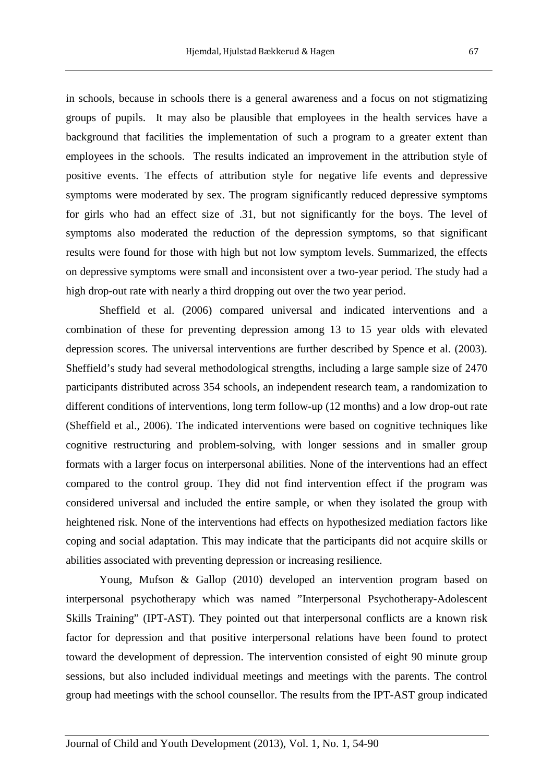in schools, because in schools there is a general awareness and a focus on not stigmatizing groups of pupils. It may also be plausible that employees in the health services have a background that facilities the implementation of such a program to a greater extent than employees in the schools. The results indicated an improvement in the attribution style of positive events. The effects of attribution style for negative life events and depressive symptoms were moderated by sex. The program significantly reduced depressive symptoms for girls who had an effect size of .31, but not significantly for the boys. The level of symptoms also moderated the reduction of the depression symptoms, so that significant results were found for those with high but not low symptom levels. Summarized, the effects on depressive symptoms were small and inconsistent over a two-year period. The study had a high drop-out rate with nearly a third dropping out over the two year period.

 Sheffield et al. (2006) compared universal and indicated interventions and a combination of these for preventing depression among 13 to 15 year olds with elevated depression scores. The universal interventions are further described by Spence et al. (2003). Sheffield's study had several methodological strengths, including a large sample size of 2470 participants distributed across 354 schools, an independent research team, a randomization to different conditions of interventions, long term follow-up (12 months) and a low drop-out rate (Sheffield et al., 2006). The indicated interventions were based on cognitive techniques like cognitive restructuring and problem-solving, with longer sessions and in smaller group formats with a larger focus on interpersonal abilities. None of the interventions had an effect compared to the control group. They did not find intervention effect if the program was considered universal and included the entire sample, or when they isolated the group with heightened risk. None of the interventions had effects on hypothesized mediation factors like coping and social adaptation. This may indicate that the participants did not acquire skills or abilities associated with preventing depression or increasing resilience.

 Young, Mufson & Gallop (2010) developed an intervention program based on interpersonal psychotherapy which was named "Interpersonal Psychotherapy-Adolescent Skills Training" (IPT-AST). They pointed out that interpersonal conflicts are a known risk factor for depression and that positive interpersonal relations have been found to protect toward the development of depression. The intervention consisted of eight 90 minute group sessions, but also included individual meetings and meetings with the parents. The control group had meetings with the school counsellor. The results from the IPT-AST group indicated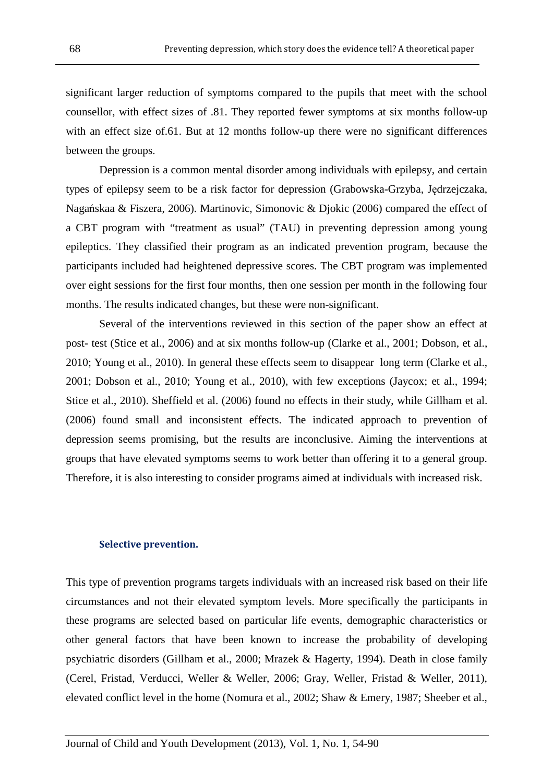significant larger reduction of symptoms compared to the pupils that meet with the school counsellor, with effect sizes of .81. They reported fewer symptoms at six months follow-up with an effect size of.61. But at 12 months follow-up there were no significant differences between the groups.

 Depression is a common mental disorder among individuals with epilepsy, and certain types of epilepsy seem to be a risk factor for depression (Grabowska-Grzyba, Jędrzejczaka, Nagańskaa & Fiszera, 2006). Martinovic, Simonovic & Djokic (2006) compared the effect of a CBT program with "treatment as usual" (TAU) in preventing depression among young epileptics. They classified their program as an indicated prevention program, because the participants included had heightened depressive scores. The CBT program was implemented over eight sessions for the first four months, then one session per month in the following four months. The results indicated changes, but these were non-significant.

 Several of the interventions reviewed in this section of the paper show an effect at post- test (Stice et al., 2006) and at six months follow-up (Clarke et al., 2001; Dobson, et al., 2010; Young et al., 2010). In general these effects seem to disappear long term (Clarke et al., 2001; Dobson et al., 2010; Young et al., 2010), with few exceptions (Jaycox; et al., 1994; Stice et al., 2010). Sheffield et al. (2006) found no effects in their study, while Gillham et al. (2006) found small and inconsistent effects. The indicated approach to prevention of depression seems promising, but the results are inconclusive. Aiming the interventions at groups that have elevated symptoms seems to work better than offering it to a general group. Therefore, it is also interesting to consider programs aimed at individuals with increased risk.

#### Selective prevention.

This type of prevention programs targets individuals with an increased risk based on their life circumstances and not their elevated symptom levels. More specifically the participants in these programs are selected based on particular life events, demographic characteristics or other general factors that have been known to increase the probability of developing psychiatric disorders (Gillham et al., 2000; Mrazek & Hagerty, 1994). Death in close family (Cerel, Fristad, Verducci, Weller & Weller, 2006; Gray, Weller, Fristad & Weller, 2011), elevated conflict level in the home (Nomura et al., 2002; Shaw & Emery, 1987; Sheeber et al.,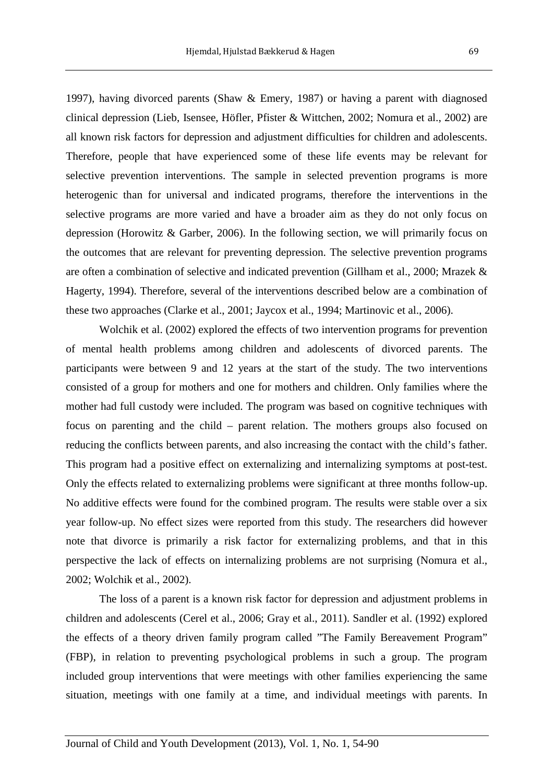1997), having divorced parents (Shaw & Emery, 1987) or having a parent with diagnosed clinical depression (Lieb, Isensee, Höfler, Pfister & Wittchen, 2002; Nomura et al., 2002) are all known risk factors for depression and adjustment difficulties for children and adolescents. Therefore, people that have experienced some of these life events may be relevant for selective prevention interventions. The sample in selected prevention programs is more heterogenic than for universal and indicated programs, therefore the interventions in the selective programs are more varied and have a broader aim as they do not only focus on depression (Horowitz & Garber, 2006). In the following section, we will primarily focus on the outcomes that are relevant for preventing depression. The selective prevention programs are often a combination of selective and indicated prevention (Gillham et al., 2000; Mrazek & Hagerty, 1994). Therefore, several of the interventions described below are a combination of these two approaches (Clarke et al., 2001; Jaycox et al., 1994; Martinovic et al., 2006).

 Wolchik et al. (2002) explored the effects of two intervention programs for prevention of mental health problems among children and adolescents of divorced parents. The participants were between 9 and 12 years at the start of the study. The two interventions consisted of a group for mothers and one for mothers and children. Only families where the mother had full custody were included. The program was based on cognitive techniques with focus on parenting and the child – parent relation. The mothers groups also focused on reducing the conflicts between parents, and also increasing the contact with the child's father. This program had a positive effect on externalizing and internalizing symptoms at post-test. Only the effects related to externalizing problems were significant at three months follow-up. No additive effects were found for the combined program. The results were stable over a six year follow-up. No effect sizes were reported from this study. The researchers did however note that divorce is primarily a risk factor for externalizing problems, and that in this perspective the lack of effects on internalizing problems are not surprising (Nomura et al., 2002; Wolchik et al., 2002).

 The loss of a parent is a known risk factor for depression and adjustment problems in children and adolescents (Cerel et al., 2006; Gray et al., 2011). Sandler et al. (1992) explored the effects of a theory driven family program called "The Family Bereavement Program" (FBP), in relation to preventing psychological problems in such a group. The program included group interventions that were meetings with other families experiencing the same situation, meetings with one family at a time, and individual meetings with parents. In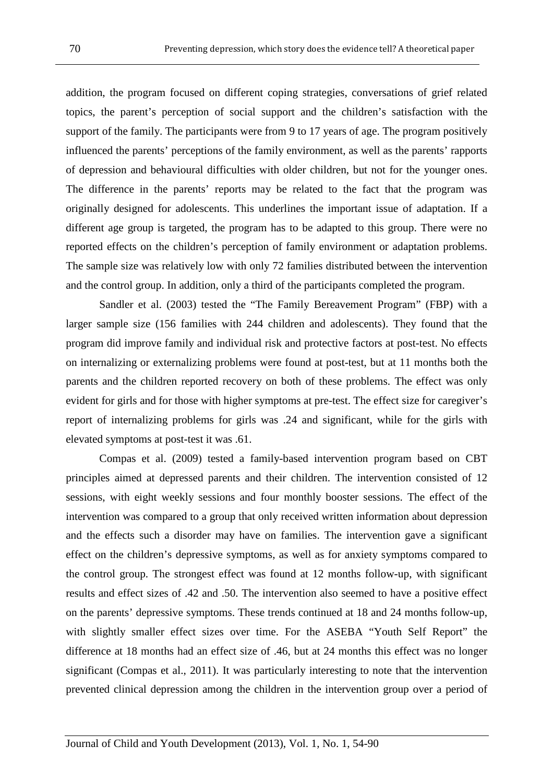addition, the program focused on different coping strategies, conversations of grief related topics, the parent's perception of social support and the children's satisfaction with the support of the family. The participants were from 9 to 17 years of age. The program positively influenced the parents' perceptions of the family environment, as well as the parents' rapports of depression and behavioural difficulties with older children, but not for the younger ones. The difference in the parents' reports may be related to the fact that the program was originally designed for adolescents. This underlines the important issue of adaptation. If a different age group is targeted, the program has to be adapted to this group. There were no reported effects on the children's perception of family environment or adaptation problems. The sample size was relatively low with only 72 families distributed between the intervention and the control group. In addition, only a third of the participants completed the program.

 Sandler et al. (2003) tested the "The Family Bereavement Program" (FBP) with a larger sample size (156 families with 244 children and adolescents). They found that the program did improve family and individual risk and protective factors at post-test. No effects on internalizing or externalizing problems were found at post-test, but at 11 months both the parents and the children reported recovery on both of these problems. The effect was only evident for girls and for those with higher symptoms at pre-test. The effect size for caregiver's report of internalizing problems for girls was .24 and significant, while for the girls with elevated symptoms at post-test it was .61.

 Compas et al. (2009) tested a family-based intervention program based on CBT principles aimed at depressed parents and their children. The intervention consisted of 12 sessions, with eight weekly sessions and four monthly booster sessions. The effect of the intervention was compared to a group that only received written information about depression and the effects such a disorder may have on families. The intervention gave a significant effect on the children's depressive symptoms, as well as for anxiety symptoms compared to the control group. The strongest effect was found at 12 months follow-up, with significant results and effect sizes of .42 and .50. The intervention also seemed to have a positive effect on the parents' depressive symptoms. These trends continued at 18 and 24 months follow-up, with slightly smaller effect sizes over time. For the ASEBA "Youth Self Report" the difference at 18 months had an effect size of .46, but at 24 months this effect was no longer significant (Compas et al., 2011). It was particularly interesting to note that the intervention prevented clinical depression among the children in the intervention group over a period of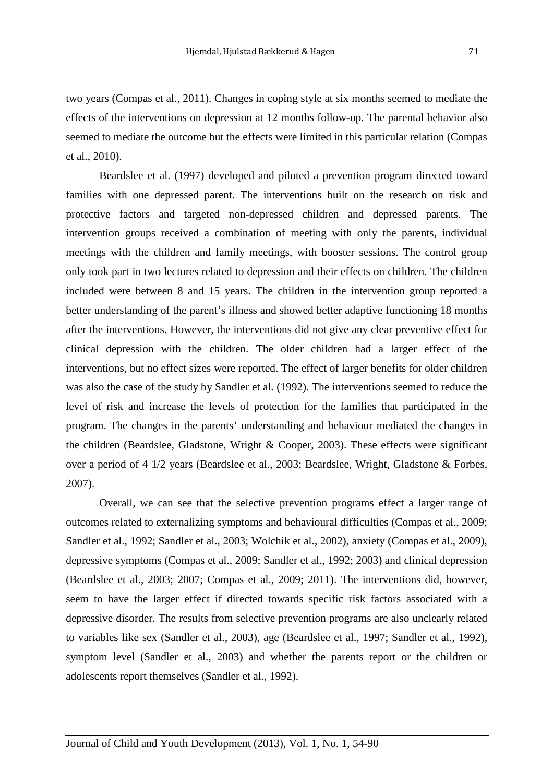two years (Compas et al., 2011). Changes in coping style at six months seemed to mediate the effects of the interventions on depression at 12 months follow-up. The parental behavior also seemed to mediate the outcome but the effects were limited in this particular relation (Compas et al., 2010).

 Beardslee et al. (1997) developed and piloted a prevention program directed toward families with one depressed parent. The interventions built on the research on risk and protective factors and targeted non-depressed children and depressed parents. The intervention groups received a combination of meeting with only the parents, individual meetings with the children and family meetings, with booster sessions. The control group only took part in two lectures related to depression and their effects on children. The children included were between 8 and 15 years. The children in the intervention group reported a better understanding of the parent's illness and showed better adaptive functioning 18 months after the interventions. However, the interventions did not give any clear preventive effect for clinical depression with the children. The older children had a larger effect of the interventions, but no effect sizes were reported. The effect of larger benefits for older children was also the case of the study by Sandler et al. (1992). The interventions seemed to reduce the level of risk and increase the levels of protection for the families that participated in the program. The changes in the parents' understanding and behaviour mediated the changes in the children (Beardslee, Gladstone, Wright & Cooper, 2003). These effects were significant over a period of 4 1/2 years (Beardslee et al., 2003; Beardslee, Wright, Gladstone & Forbes, 2007).

 Overall, we can see that the selective prevention programs effect a larger range of outcomes related to externalizing symptoms and behavioural difficulties (Compas et al., 2009; Sandler et al., 1992; Sandler et al., 2003; Wolchik et al., 2002), anxiety (Compas et al., 2009), depressive symptoms (Compas et al., 2009; Sandler et al., 1992; 2003) and clinical depression (Beardslee et al., 2003; 2007; Compas et al., 2009; 2011). The interventions did, however, seem to have the larger effect if directed towards specific risk factors associated with a depressive disorder. The results from selective prevention programs are also unclearly related to variables like sex (Sandler et al., 2003), age (Beardslee et al., 1997; Sandler et al., 1992), symptom level (Sandler et al., 2003) and whether the parents report or the children or adolescents report themselves (Sandler et al., 1992).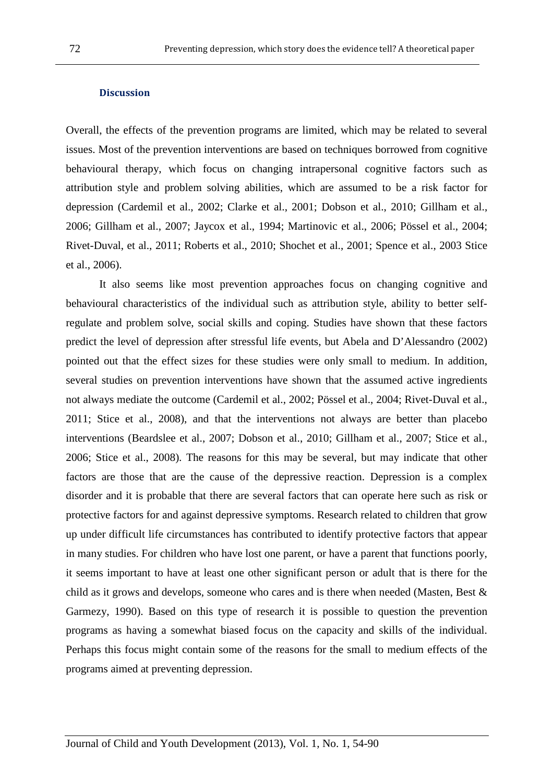#### **Discussion**

Overall, the effects of the prevention programs are limited, which may be related to several issues. Most of the prevention interventions are based on techniques borrowed from cognitive behavioural therapy, which focus on changing intrapersonal cognitive factors such as attribution style and problem solving abilities, which are assumed to be a risk factor for depression (Cardemil et al., 2002; Clarke et al., 2001; Dobson et al., 2010; Gillham et al., 2006; Gillham et al., 2007; Jaycox et al., 1994; Martinovic et al., 2006; Pössel et al., 2004; Rivet-Duval, et al., 2011; Roberts et al., 2010; Shochet et al., 2001; Spence et al., 2003 Stice et al., 2006).

 It also seems like most prevention approaches focus on changing cognitive and behavioural characteristics of the individual such as attribution style, ability to better selfregulate and problem solve, social skills and coping. Studies have shown that these factors predict the level of depression after stressful life events, but Abela and D'Alessandro (2002) pointed out that the effect sizes for these studies were only small to medium. In addition, several studies on prevention interventions have shown that the assumed active ingredients not always mediate the outcome (Cardemil et al., 2002; Pössel et al., 2004; Rivet-Duval et al., 2011; Stice et al., 2008), and that the interventions not always are better than placebo interventions (Beardslee et al., 2007; Dobson et al., 2010; Gillham et al., 2007; Stice et al., 2006; Stice et al., 2008). The reasons for this may be several, but may indicate that other factors are those that are the cause of the depressive reaction. Depression is a complex disorder and it is probable that there are several factors that can operate here such as risk or protective factors for and against depressive symptoms. Research related to children that grow up under difficult life circumstances has contributed to identify protective factors that appear in many studies. For children who have lost one parent, or have a parent that functions poorly, it seems important to have at least one other significant person or adult that is there for the child as it grows and develops, someone who cares and is there when needed (Masten, Best & Garmezy, 1990). Based on this type of research it is possible to question the prevention programs as having a somewhat biased focus on the capacity and skills of the individual. Perhaps this focus might contain some of the reasons for the small to medium effects of the programs aimed at preventing depression.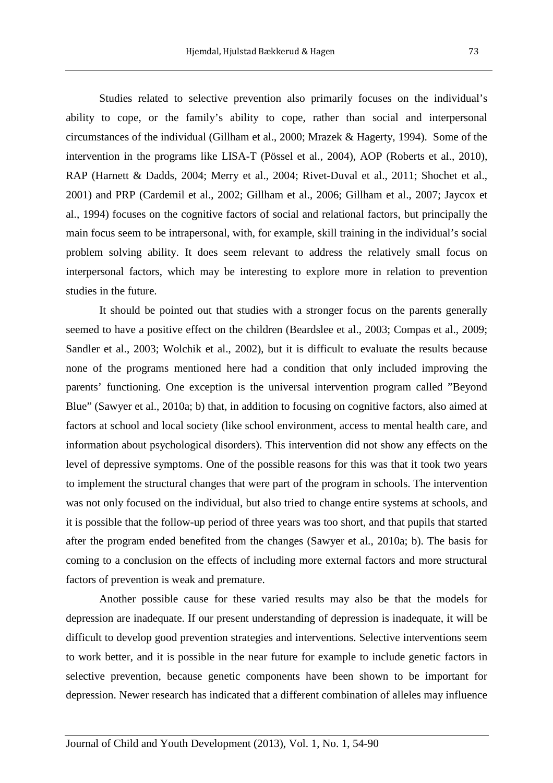Studies related to selective prevention also primarily focuses on the individual's ability to cope, or the family's ability to cope, rather than social and interpersonal circumstances of the individual (Gillham et al., 2000; Mrazek & Hagerty, 1994). Some of the intervention in the programs like LISA-T (Pössel et al., 2004), AOP (Roberts et al., 2010), RAP (Harnett & Dadds, 2004; Merry et al., 2004; Rivet-Duval et al., 2011; Shochet et al., 2001) and PRP (Cardemil et al., 2002; Gillham et al., 2006; Gillham et al., 2007; Jaycox et al., 1994) focuses on the cognitive factors of social and relational factors, but principally the main focus seem to be intrapersonal, with, for example, skill training in the individual's social problem solving ability. It does seem relevant to address the relatively small focus on interpersonal factors, which may be interesting to explore more in relation to prevention studies in the future.

 It should be pointed out that studies with a stronger focus on the parents generally seemed to have a positive effect on the children (Beardslee et al., 2003; Compas et al., 2009; Sandler et al., 2003; Wolchik et al., 2002), but it is difficult to evaluate the results because none of the programs mentioned here had a condition that only included improving the parents' functioning. One exception is the universal intervention program called "Beyond Blue" (Sawyer et al., 2010a; b) that, in addition to focusing on cognitive factors, also aimed at factors at school and local society (like school environment, access to mental health care, and information about psychological disorders). This intervention did not show any effects on the level of depressive symptoms. One of the possible reasons for this was that it took two years to implement the structural changes that were part of the program in schools. The intervention was not only focused on the individual, but also tried to change entire systems at schools, and it is possible that the follow-up period of three years was too short, and that pupils that started after the program ended benefited from the changes (Sawyer et al., 2010a; b). The basis for coming to a conclusion on the effects of including more external factors and more structural factors of prevention is weak and premature.

 Another possible cause for these varied results may also be that the models for depression are inadequate. If our present understanding of depression is inadequate, it will be difficult to develop good prevention strategies and interventions. Selective interventions seem to work better, and it is possible in the near future for example to include genetic factors in selective prevention, because genetic components have been shown to be important for depression. Newer research has indicated that a different combination of alleles may influence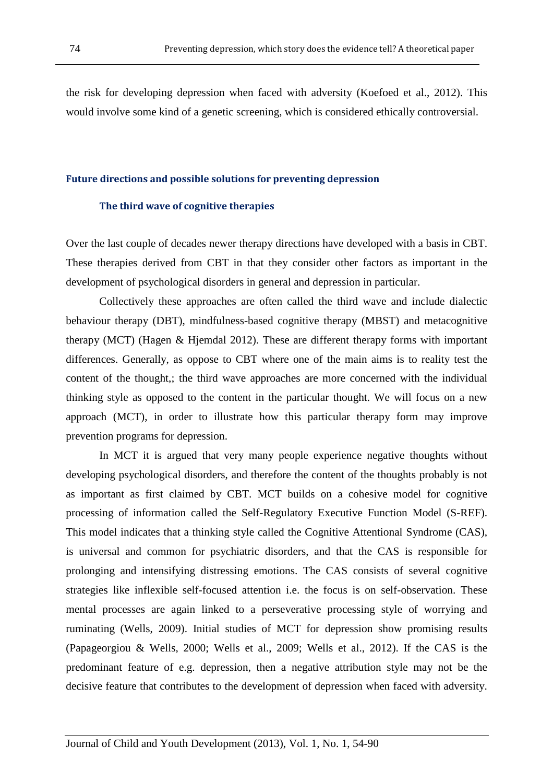the risk for developing depression when faced with adversity (Koefoed et al., 2012). This would involve some kind of a genetic screening, which is considered ethically controversial.

#### Future directions and possible solutions for preventing depression

#### The third wave of cognitive therapies

Over the last couple of decades newer therapy directions have developed with a basis in CBT. These therapies derived from CBT in that they consider other factors as important in the development of psychological disorders in general and depression in particular.

 Collectively these approaches are often called the third wave and include dialectic behaviour therapy (DBT), mindfulness-based cognitive therapy (MBST) and metacognitive therapy (MCT) (Hagen & Hjemdal 2012). These are different therapy forms with important differences. Generally, as oppose to CBT where one of the main aims is to reality test the content of the thought,; the third wave approaches are more concerned with the individual thinking style as opposed to the content in the particular thought. We will focus on a new approach (MCT), in order to illustrate how this particular therapy form may improve prevention programs for depression.

 In MCT it is argued that very many people experience negative thoughts without developing psychological disorders, and therefore the content of the thoughts probably is not as important as first claimed by CBT. MCT builds on a cohesive model for cognitive processing of information called the Self-Regulatory Executive Function Model (S-REF). This model indicates that a thinking style called the Cognitive Attentional Syndrome (CAS), is universal and common for psychiatric disorders, and that the CAS is responsible for prolonging and intensifying distressing emotions. The CAS consists of several cognitive strategies like inflexible self-focused attention i.e. the focus is on self-observation. These mental processes are again linked to a perseverative processing style of worrying and ruminating (Wells, 2009). Initial studies of MCT for depression show promising results (Papageorgiou & Wells, 2000; Wells et al., 2009; Wells et al., 2012). If the CAS is the predominant feature of e.g. depression, then a negative attribution style may not be the decisive feature that contributes to the development of depression when faced with adversity.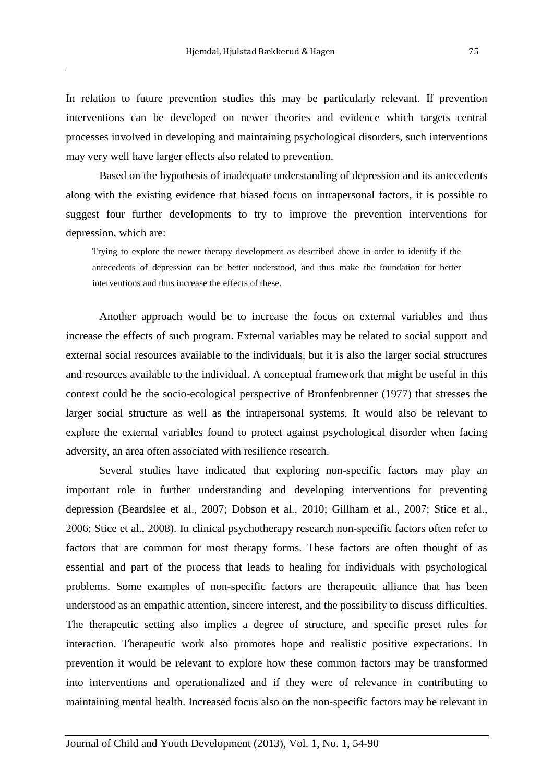In relation to future prevention studies this may be particularly relevant. If prevention interventions can be developed on newer theories and evidence which targets central processes involved in developing and maintaining psychological disorders, such interventions may very well have larger effects also related to prevention.

 Based on the hypothesis of inadequate understanding of depression and its antecedents along with the existing evidence that biased focus on intrapersonal factors, it is possible to suggest four further developments to try to improve the prevention interventions for depression, which are:

Trying to explore the newer therapy development as described above in order to identify if the antecedents of depression can be better understood, and thus make the foundation for better interventions and thus increase the effects of these.

 Another approach would be to increase the focus on external variables and thus increase the effects of such program. External variables may be related to social support and external social resources available to the individuals, but it is also the larger social structures and resources available to the individual. A conceptual framework that might be useful in this context could be the socio-ecological perspective of Bronfenbrenner (1977) that stresses the larger social structure as well as the intrapersonal systems. It would also be relevant to explore the external variables found to protect against psychological disorder when facing adversity, an area often associated with resilience research.

 Several studies have indicated that exploring non-specific factors may play an important role in further understanding and developing interventions for preventing depression (Beardslee et al., 2007; Dobson et al., 2010; Gillham et al., 2007; Stice et al., 2006; Stice et al., 2008). In clinical psychotherapy research non-specific factors often refer to factors that are common for most therapy forms. These factors are often thought of as essential and part of the process that leads to healing for individuals with psychological problems. Some examples of non-specific factors are therapeutic alliance that has been understood as an empathic attention, sincere interest, and the possibility to discuss difficulties. The therapeutic setting also implies a degree of structure, and specific preset rules for interaction. Therapeutic work also promotes hope and realistic positive expectations. In prevention it would be relevant to explore how these common factors may be transformed into interventions and operationalized and if they were of relevance in contributing to maintaining mental health. Increased focus also on the non-specific factors may be relevant in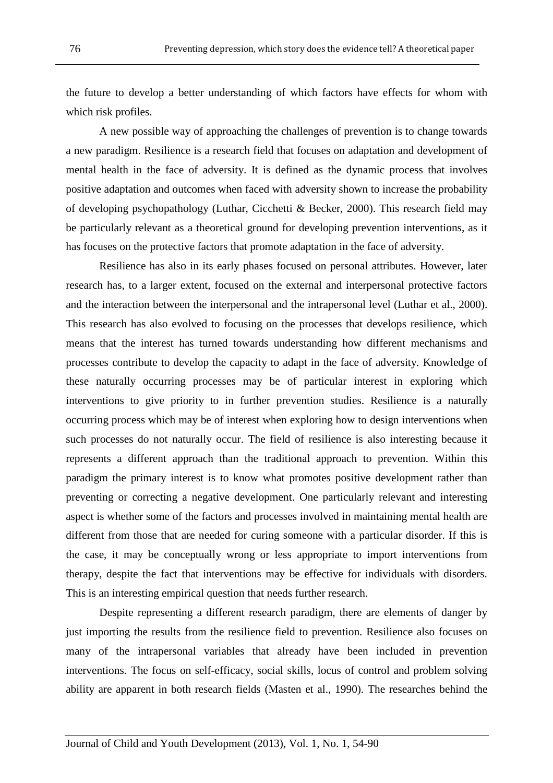the future to develop a better understanding of which factors have effects for whom with which risk profiles.

 A new possible way of approaching the challenges of prevention is to change towards a new paradigm. Resilience is a research field that focuses on adaptation and development of mental health in the face of adversity. It is defined as the dynamic process that involves positive adaptation and outcomes when faced with adversity shown to increase the probability of developing psychopathology (Luthar, Cicchetti & Becker, 2000). This research field may be particularly relevant as a theoretical ground for developing prevention interventions, as it has focuses on the protective factors that promote adaptation in the face of adversity.

 Resilience has also in its early phases focused on personal attributes. However, later research has, to a larger extent, focused on the external and interpersonal protective factors and the interaction between the interpersonal and the intrapersonal level (Luthar et al., 2000). This research has also evolved to focusing on the processes that develops resilience, which means that the interest has turned towards understanding how different mechanisms and processes contribute to develop the capacity to adapt in the face of adversity. Knowledge of these naturally occurring processes may be of particular interest in exploring which interventions to give priority to in further prevention studies. Resilience is a naturally occurring process which may be of interest when exploring how to design interventions when such processes do not naturally occur. The field of resilience is also interesting because it represents a different approach than the traditional approach to prevention. Within this paradigm the primary interest is to know what promotes positive development rather than preventing or correcting a negative development. One particularly relevant and interesting aspect is whether some of the factors and processes involved in maintaining mental health are different from those that are needed for curing someone with a particular disorder. If this is the case, it may be conceptually wrong or less appropriate to import interventions from therapy, despite the fact that interventions may be effective for individuals with disorders. This is an interesting empirical question that needs further research.

 Despite representing a different research paradigm, there are elements of danger by just importing the results from the resilience field to prevention. Resilience also focuses on many of the intrapersonal variables that already have been included in prevention interventions. The focus on self-efficacy, social skills, locus of control and problem solving ability are apparent in both research fields (Masten et al., 1990). The researches behind the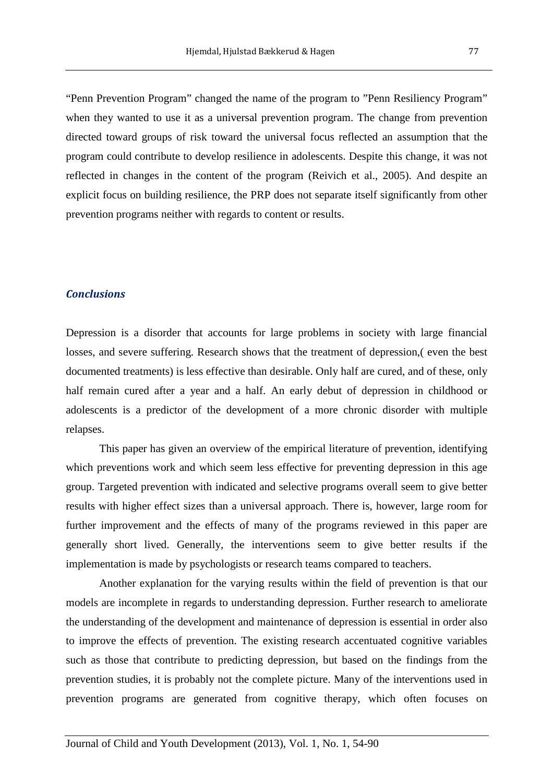"Penn Prevention Program" changed the name of the program to "Penn Resiliency Program" when they wanted to use it as a universal prevention program. The change from prevention directed toward groups of risk toward the universal focus reflected an assumption that the program could contribute to develop resilience in adolescents. Despite this change, it was not reflected in changes in the content of the program (Reivich et al., 2005). And despite an explicit focus on building resilience, the PRP does not separate itself significantly from other prevention programs neither with regards to content or results.

#### **Conclusions**

Depression is a disorder that accounts for large problems in society with large financial losses, and severe suffering. Research shows that the treatment of depression,( even the best documented treatments) is less effective than desirable. Only half are cured, and of these, only half remain cured after a year and a half. An early debut of depression in childhood or adolescents is a predictor of the development of a more chronic disorder with multiple relapses.

 This paper has given an overview of the empirical literature of prevention, identifying which preventions work and which seem less effective for preventing depression in this age group. Targeted prevention with indicated and selective programs overall seem to give better results with higher effect sizes than a universal approach. There is, however, large room for further improvement and the effects of many of the programs reviewed in this paper are generally short lived. Generally, the interventions seem to give better results if the implementation is made by psychologists or research teams compared to teachers.

 Another explanation for the varying results within the field of prevention is that our models are incomplete in regards to understanding depression. Further research to ameliorate the understanding of the development and maintenance of depression is essential in order also to improve the effects of prevention. The existing research accentuated cognitive variables such as those that contribute to predicting depression, but based on the findings from the prevention studies, it is probably not the complete picture. Many of the interventions used in prevention programs are generated from cognitive therapy, which often focuses on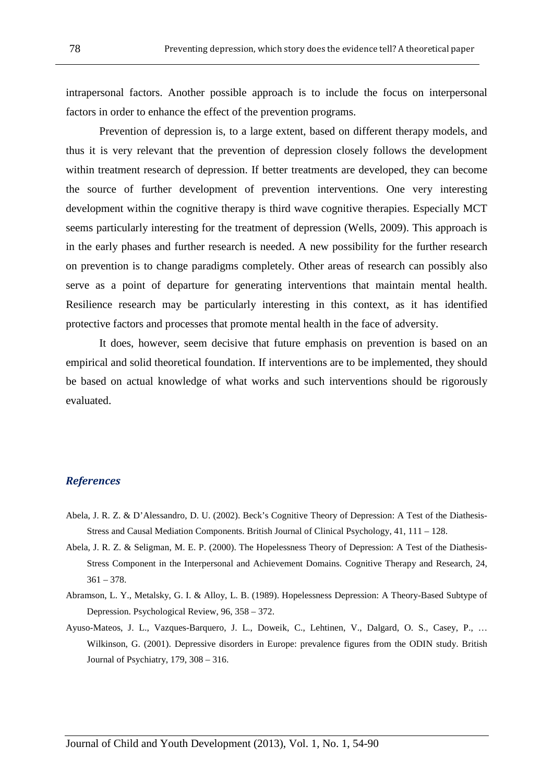intrapersonal factors. Another possible approach is to include the focus on interpersonal factors in order to enhance the effect of the prevention programs.

 Prevention of depression is, to a large extent, based on different therapy models, and thus it is very relevant that the prevention of depression closely follows the development within treatment research of depression. If better treatments are developed, they can become the source of further development of prevention interventions. One very interesting development within the cognitive therapy is third wave cognitive therapies. Especially MCT seems particularly interesting for the treatment of depression (Wells, 2009). This approach is in the early phases and further research is needed. A new possibility for the further research on prevention is to change paradigms completely. Other areas of research can possibly also serve as a point of departure for generating interventions that maintain mental health. Resilience research may be particularly interesting in this context, as it has identified protective factors and processes that promote mental health in the face of adversity.

 It does, however, seem decisive that future emphasis on prevention is based on an empirical and solid theoretical foundation. If interventions are to be implemented, they should be based on actual knowledge of what works and such interventions should be rigorously evaluated.

#### **References**

- Abela, J. R. Z. & D'Alessandro, D. U. (2002). Beck's Cognitive Theory of Depression: A Test of the Diathesis-Stress and Causal Mediation Components. British Journal of Clinical Psychology, 41, 111 – 128.
- Abela, J. R. Z. & Seligman, M. E. P. (2000). The Hopelessness Theory of Depression: A Test of the Diathesis-Stress Component in the Interpersonal and Achievement Domains. Cognitive Therapy and Research, 24,  $361 - 378.$
- Abramson, L. Y., Metalsky, G. I. & Alloy, L. B. (1989). Hopelessness Depression: A Theory-Based Subtype of Depression. Psychological Review, 96, 358 – 372.
- Ayuso-Mateos, J. L., Vazques-Barquero, J. L., Doweik, C., Lehtinen, V., Dalgard, O. S., Casey, P., … Wilkinson, G. (2001). Depressive disorders in Europe: prevalence figures from the ODIN study. British Journal of Psychiatry, 179, 308 – 316.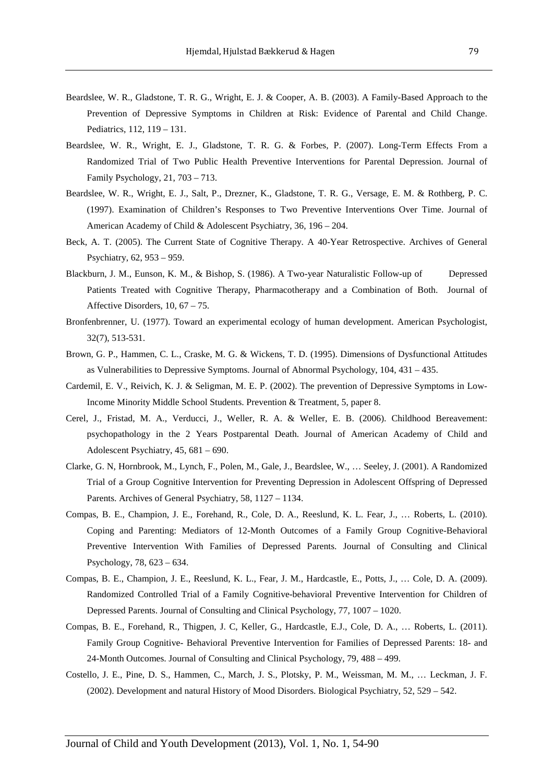- Beardslee, W. R., Gladstone, T. R. G., Wright, E. J. & Cooper, A. B. (2003). A Family-Based Approach to the Prevention of Depressive Symptoms in Children at Risk: Evidence of Parental and Child Change. Pediatrics, 112, 119 – 131.
- Beardslee, W. R., Wright, E. J., Gladstone, T. R. G. & Forbes, P. (2007). Long-Term Effects From a Randomized Trial of Two Public Health Preventive Interventions for Parental Depression. Journal of Family Psychology, 21, 703 – 713.
- Beardslee, W. R., Wright, E. J., Salt, P., Drezner, K., Gladstone, T. R. G., Versage, E. M. & Rothberg, P. C. (1997). Examination of Children's Responses to Two Preventive Interventions Over Time. Journal of American Academy of Child & Adolescent Psychiatry, 36, 196 – 204.
- Beck, A. T. (2005). The Current State of Cognitive Therapy. A 40-Year Retrospective. Archives of General Psychiatry, 62, 953 – 959.
- Blackburn, J. M., Eunson, K. M., & Bishop, S. (1986). A Two-year Naturalistic Follow-up of Depressed Patients Treated with Cognitive Therapy, Pharmacotherapy and a Combination of Both. Journal of Affective Disorders, 10, 67 – 75.
- Bronfenbrenner, U. (1977). Toward an experimental ecology of human development. American Psychologist, 32(7), 513-531.
- Brown, G. P., Hammen, C. L., Craske, M. G. & Wickens, T. D. (1995). Dimensions of Dysfunctional Attitudes as Vulnerabilities to Depressive Symptoms. Journal of Abnormal Psychology, 104, 431 – 435.
- Cardemil, E. V., Reivich, K. J. & Seligman, M. E. P. (2002). The prevention of Depressive Symptoms in Low-Income Minority Middle School Students. Prevention & Treatment, 5, paper 8.
- Cerel, J., Fristad, M. A., Verducci, J., Weller, R. A. & Weller, E. B. (2006). Childhood Bereavement: psychopathology in the 2 Years Postparental Death. Journal of American Academy of Child and Adolescent Psychiatry, 45, 681 – 690.
- Clarke, G. N, Hornbrook, M., Lynch, F., Polen, M., Gale, J., Beardslee, W., … Seeley, J. (2001). A Randomized Trial of a Group Cognitive Intervention for Preventing Depression in Adolescent Offspring of Depressed Parents. Archives of General Psychiatry, 58, 1127 – 1134.
- Compas, B. E., Champion, J. E., Forehand, R., Cole, D. A., Reeslund, K. L. Fear, J., … Roberts, L. (2010). Coping and Parenting: Mediators of 12-Month Outcomes of a Family Group Cognitive-Behavioral Preventive Intervention With Families of Depressed Parents. Journal of Consulting and Clinical Psychology, 78, 623 – 634.
- Compas, B. E., Champion, J. E., Reeslund, K. L., Fear, J. M., Hardcastle, E., Potts, J., … Cole, D. A. (2009). Randomized Controlled Trial of a Family Cognitive-behavioral Preventive Intervention for Children of Depressed Parents. Journal of Consulting and Clinical Psychology, 77, 1007 – 1020.
- Compas, B. E., Forehand, R., Thigpen, J. C, Keller, G., Hardcastle, E.J., Cole, D. A., … Roberts, L. (2011). Family Group Cognitive- Behavioral Preventive Intervention for Families of Depressed Parents: 18- and 24-Month Outcomes. Journal of Consulting and Clinical Psychology, 79, 488 – 499.
- Costello, J. E., Pine, D. S., Hammen, C., March, J. S., Plotsky, P. M., Weissman, M. M., … Leckman, J. F. (2002). Development and natural History of Mood Disorders. Biological Psychiatry, 52, 529 – 542.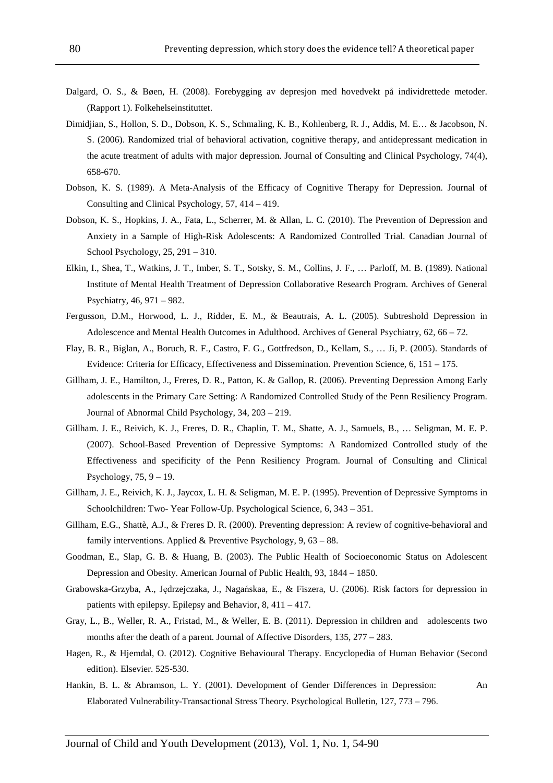- Dalgard, O. S., & Bøen, H. (2008). Forebygging av depresjon med hovedvekt på individrettede metoder. (Rapport 1). Folkehelseinstituttet.
- Dimidjian, S., Hollon, S. D., Dobson, K. S., Schmaling, K. B., Kohlenberg, R. J., Addis, M. E… & Jacobson, N. S. (2006). Randomized trial of behavioral activation, cognitive therapy, and antidepressant medication in the acute treatment of adults with major depression. Journal of Consulting and Clinical Psychology, 74(4), 658-670.
- Dobson, K. S. (1989). A Meta-Analysis of the Efficacy of Cognitive Therapy for Depression. Journal of Consulting and Clinical Psychology, 57, 414 – 419.
- Dobson, K. S., Hopkins, J. A., Fata, L., Scherrer, M. & Allan, L. C. (2010). The Prevention of Depression and Anxiety in a Sample of High-Risk Adolescents: A Randomized Controlled Trial. Canadian Journal of School Psychology, 25, 291 – 310.
- Elkin, I., Shea, T., Watkins, J. T., Imber, S. T., Sotsky, S. M., Collins, J. F., … Parloff, M. B. (1989). National Institute of Mental Health Treatment of Depression Collaborative Research Program. Archives of General Psychiatry, 46, 971 – 982.
- Fergusson, D.M., Horwood, L. J., Ridder, E. M., & Beautrais, A. L. (2005). Subtreshold Depression in Adolescence and Mental Health Outcomes in Adulthood. Archives of General Psychiatry, 62, 66 – 72.
- Flay, B. R., Biglan, A., Boruch, R. F., Castro, F. G., Gottfredson, D., Kellam, S., … Ji, P. (2005). Standards of Evidence: Criteria for Efficacy, Effectiveness and Dissemination. Prevention Science, 6, 151 – 175.
- Gillham, J. E., Hamilton, J., Freres, D. R., Patton, K. & Gallop, R. (2006). Preventing Depression Among Early adolescents in the Primary Care Setting: A Randomized Controlled Study of the Penn Resiliency Program. Journal of Abnormal Child Psychology, 34, 203 – 219.
- Gillham. J. E., Reivich, K. J., Freres, D. R., Chaplin, T. M., Shatte, A. J., Samuels, B., … Seligman, M. E. P. (2007). School-Based Prevention of Depressive Symptoms: A Randomized Controlled study of the Effectiveness and specificity of the Penn Resiliency Program. Journal of Consulting and Clinical Psychology,  $75, 9 - 19$ .
- Gillham, J. E., Reivich, K. J., Jaycox, L. H. & Seligman, M. E. P. (1995). Prevention of Depressive Symptoms in Schoolchildren: Two- Year Follow-Up. Psychological Science, 6, 343 – 351.
- Gillham, E.G., Shattè, A.J., & Freres D. R. (2000). Preventing depression: A review of cognitive-behavioral and family interventions. Applied & Preventive Psychology, 9, 63 – 88.
- Goodman, E., Slap, G. B. & Huang, B. (2003). The Public Health of Socioeconomic Status on Adolescent Depression and Obesity. American Journal of Public Health, 93, 1844 – 1850.
- Grabowska-Grzyba, A., Jędrzejczaka, J., Nagańskaa, E., & Fiszera, U. (2006). Risk factors for depression in patients with epilepsy. Epilepsy and Behavior, 8, 411 – 417.
- Gray, L., B., Weller, R. A., Fristad, M., & Weller, E. B. (2011). Depression in children and adolescents two months after the death of a parent. Journal of Affective Disorders, 135, 277 – 283.
- Hagen, R., & Hjemdal, O. (2012). Cognitive Behavioural Therapy. Encyclopedia of Human Behavior (Second edition). Elsevier. 525-530.
- Hankin, B. L. & Abramson, L. Y. (2001). Development of Gender Differences in Depression: An Elaborated Vulnerability-Transactional Stress Theory. Psychological Bulletin, 127, 773 – 796.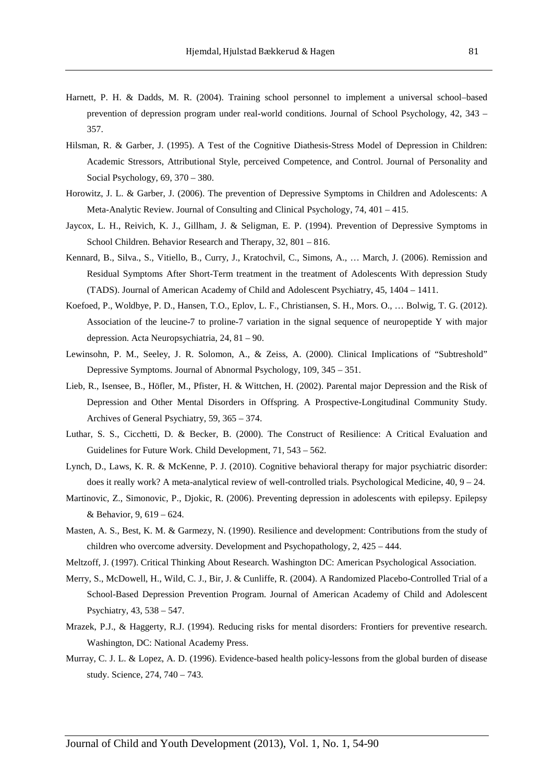- Harnett, P. H. & Dadds, M. R. (2004). Training school personnel to implement a universal school–based prevention of depression program under real-world conditions. Journal of School Psychology, 42, 343 – 357.
- Hilsman, R. & Garber, J. (1995). A Test of the Cognitive Diathesis-Stress Model of Depression in Children: Academic Stressors, Attributional Style, perceived Competence, and Control. Journal of Personality and Social Psychology, 69, 370 – 380.
- Horowitz, J. L. & Garber, J. (2006). The prevention of Depressive Symptoms in Children and Adolescents: A Meta-Analytic Review. Journal of Consulting and Clinical Psychology, 74, 401 – 415.
- Jaycox, L. H., Reivich, K. J., Gillham, J. & Seligman, E. P. (1994). Prevention of Depressive Symptoms in School Children. Behavior Research and Therapy, 32, 801 – 816.
- Kennard, B., Silva., S., Vitiello, B., Curry, J., Kratochvil, C., Simons, A., … March, J. (2006). Remission and Residual Symptoms After Short-Term treatment in the treatment of Adolescents With depression Study (TADS). Journal of American Academy of Child and Adolescent Psychiatry, 45, 1404 – 1411.
- Koefoed, P., Woldbye, P. D., Hansen, T.O., Eplov, L. F., Christiansen, S. H., Mors. O., … Bolwig, T. G. (2012). Association of the leucine-7 to proline-7 variation in the signal sequence of neuropeptide Y with major depression. Acta Neuropsychiatria, 24, 81 – 90.
- Lewinsohn, P. M., Seeley, J. R. Solomon, A., & Zeiss, A. (2000). Clinical Implications of "Subtreshold" Depressive Symptoms. Journal of Abnormal Psychology, 109, 345 – 351.
- Lieb, R., Isensee, B., Höfler, M., Pfister, H. & Wittchen, H. (2002). Parental major Depression and the Risk of Depression and Other Mental Disorders in Offspring. A Prospective-Longitudinal Community Study. Archives of General Psychiatry, 59, 365 – 374.
- Luthar, S. S., Cicchetti, D. & Becker, B. (2000). The Construct of Resilience: A Critical Evaluation and Guidelines for Future Work. Child Development, 71, 543 – 562.
- Lynch, D., Laws, K. R. & McKenne, P. J. (2010). Cognitive behavioral therapy for major psychiatric disorder: does it really work? A meta-analytical review of well-controlled trials. Psychological Medicine, 40, 9 – 24.
- Martinovic, Z., Simonovic, P., Djokic, R. (2006). Preventing depression in adolescents with epilepsy. Epilepsy & Behavior, 9, 619 – 624.
- Masten, A. S., Best, K. M. & Garmezy, N. (1990). Resilience and development: Contributions from the study of children who overcome adversity. Development and Psychopathology, 2, 425 – 444.
- Meltzoff, J. (1997). Critical Thinking About Research. Washington DC: American Psychological Association.
- Merry, S., McDowell, H., Wild, C. J., Bir, J. & Cunliffe, R. (2004). A Randomized Placebo-Controlled Trial of a School-Based Depression Prevention Program. Journal of American Academy of Child and Adolescent Psychiatry, 43, 538 – 547.
- Mrazek, P.J., & Haggerty, R.J. (1994). Reducing risks for mental disorders: Frontiers for preventive research. Washington, DC: National Academy Press.
- Murray, C. J. L. & Lopez, A. D. (1996). Evidence-based health policy-lessons from the global burden of disease study. Science, 274, 740 – 743.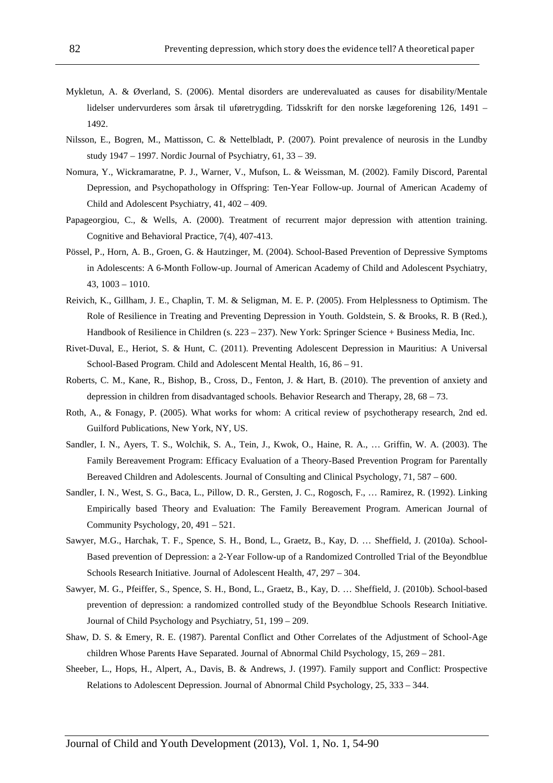- Mykletun, A. & Øverland, S. (2006). Mental disorders are underevaluated as causes for disability/Mentale lidelser undervurderes som årsak til uføretrygding. Tidsskrift for den norske lægeforening 126, 1491 – 1492.
- Nilsson, E., Bogren, M., Mattisson, C. & Nettelbladt, P. (2007). Point prevalence of neurosis in the Lundby study 1947 – 1997. Nordic Journal of Psychiatry, 61, 33 – 39.
- Nomura, Y., Wickramaratne, P. J., Warner, V., Mufson, L. & Weissman, M. (2002). Family Discord, Parental Depression, and Psychopathology in Offspring: Ten-Year Follow-up. Journal of American Academy of Child and Adolescent Psychiatry, 41, 402 – 409.
- Papageorgiou, C., & Wells, A. (2000). Treatment of recurrent major depression with attention training. Cognitive and Behavioral Practice, 7(4), 407-413.
- Pössel, P., Horn, A. B., Groen, G. & Hautzinger, M. (2004). School-Based Prevention of Depressive Symptoms in Adolescents: A 6-Month Follow-up. Journal of American Academy of Child and Adolescent Psychiatry, 43, 1003 – 1010.
- Reivich, K., Gillham, J. E., Chaplin, T. M. & Seligman, M. E. P. (2005). From Helplessness to Optimism. The Role of Resilience in Treating and Preventing Depression in Youth. Goldstein, S. & Brooks, R. B (Red.), Handbook of Resilience in Children (s. 223 – 237). New York: Springer Science + Business Media, Inc.
- Rivet-Duval, E., Heriot, S. & Hunt, C. (2011). Preventing Adolescent Depression in Mauritius: A Universal School-Based Program. Child and Adolescent Mental Health, 16, 86 – 91.
- Roberts, C. M., Kane, R., Bishop, B., Cross, D., Fenton, J. & Hart, B. (2010). The prevention of anxiety and depression in children from disadvantaged schools. Behavior Research and Therapy, 28, 68 – 73.
- Roth, A., & Fonagy, P. (2005). What works for whom: A critical review of psychotherapy research, 2nd ed. Guilford Publications, New York, NY, US.
- Sandler, I. N., Ayers, T. S., Wolchik, S. A., Tein, J., Kwok, O., Haine, R. A., … Griffin, W. A. (2003). The Family Bereavement Program: Efficacy Evaluation of a Theory-Based Prevention Program for Parentally Bereaved Children and Adolescents. Journal of Consulting and Clinical Psychology, 71, 587 – 600.
- Sandler, I. N., West, S. G., Baca, L., Pillow, D. R., Gersten, J. C., Rogosch, F., … Ramirez, R. (1992). Linking Empirically based Theory and Evaluation: The Family Bereavement Program. American Journal of Community Psychology, 20, 491 – 521.
- Sawyer, M.G., Harchak, T. F., Spence, S. H., Bond, L., Graetz, B., Kay, D. … Sheffield, J. (2010a). School-Based prevention of Depression: a 2-Year Follow-up of a Randomized Controlled Trial of the Beyondblue Schools Research Initiative. Journal of Adolescent Health, 47, 297 – 304.
- Sawyer, M. G., Pfeiffer, S., Spence, S. H., Bond, L., Graetz, B., Kay, D. … Sheffield, J. (2010b). School-based prevention of depression: a randomized controlled study of the Beyondblue Schools Research Initiative. Journal of Child Psychology and Psychiatry, 51, 199 – 209.
- Shaw, D. S. & Emery, R. E. (1987). Parental Conflict and Other Correlates of the Adjustment of School-Age children Whose Parents Have Separated. Journal of Abnormal Child Psychology, 15, 269 – 281.
- Sheeber, L., Hops, H., Alpert, A., Davis, B. & Andrews, J. (1997). Family support and Conflict: Prospective Relations to Adolescent Depression. Journal of Abnormal Child Psychology, 25, 333 – 344.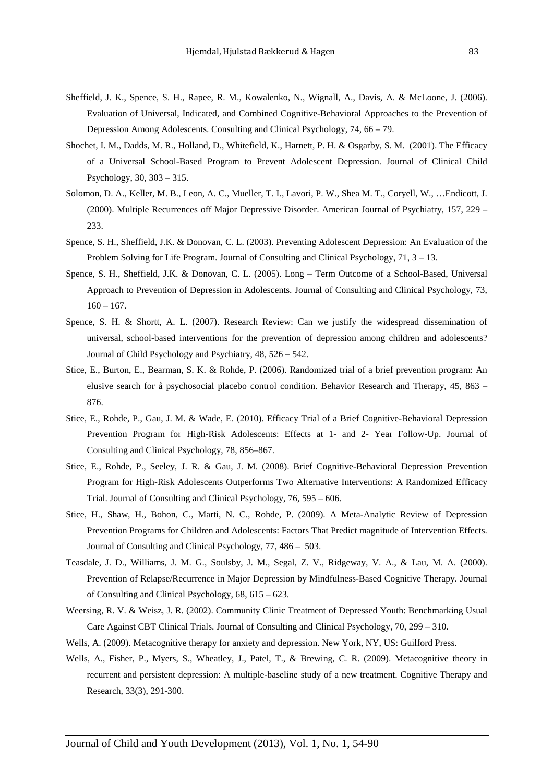- Sheffield, J. K., Spence, S. H., Rapee, R. M., Kowalenko, N., Wignall, A., Davis, A. & McLoone, J. (2006). Evaluation of Universal, Indicated, and Combined Cognitive-Behavioral Approaches to the Prevention of Depression Among Adolescents. Consulting and Clinical Psychology, 74, 66 – 79.
- Shochet, I. M., Dadds, M. R., Holland, D., Whitefield, K., Harnett, P. H. & Osgarby, S. M. (2001). The Efficacy of a Universal School-Based Program to Prevent Adolescent Depression. Journal of Clinical Child Psychology, 30, 303 – 315.
- Solomon, D. A., Keller, M. B., Leon, A. C., Mueller, T. I., Lavori, P. W., Shea M. T., Coryell, W., …Endicott, J. (2000). Multiple Recurrences off Major Depressive Disorder. American Journal of Psychiatry, 157, 229 – 233.
- Spence, S. H., Sheffield, J.K. & Donovan, C. L. (2003). Preventing Adolescent Depression: An Evaluation of the Problem Solving for Life Program. Journal of Consulting and Clinical Psychology, 71, 3 – 13.
- Spence, S. H., Sheffield, J.K. & Donovan, C. L. (2005). Long Term Outcome of a School-Based, Universal Approach to Prevention of Depression in Adolescents. Journal of Consulting and Clinical Psychology, 73,  $160 - 167$ .
- Spence, S. H. & Shortt, A. L. (2007). Research Review: Can we justify the widespread dissemination of universal, school-based interventions for the prevention of depression among children and adolescents? Journal of Child Psychology and Psychiatry, 48, 526 – 542.
- Stice, E., Burton, E., Bearman, S. K. & Rohde, P. (2006). Randomized trial of a brief prevention program: An elusive search for å psychosocial placebo control condition. Behavior Research and Therapy, 45, 863 – 876.
- Stice, E., Rohde, P., Gau, J. M. & Wade, E. (2010). Efficacy Trial of a Brief Cognitive-Behavioral Depression Prevention Program for High-Risk Adolescents: Effects at 1- and 2- Year Follow-Up. Journal of Consulting and Clinical Psychology, 78, 856–867.
- Stice, E., Rohde, P., Seeley, J. R. & Gau, J. M. (2008). Brief Cognitive-Behavioral Depression Prevention Program for High-Risk Adolescents Outperforms Two Alternative Interventions: A Randomized Efficacy Trial. Journal of Consulting and Clinical Psychology, 76, 595 – 606.
- Stice, H., Shaw, H., Bohon, C., Marti, N. C., Rohde, P. (2009). A Meta-Analytic Review of Depression Prevention Programs for Children and Adolescents: Factors That Predict magnitude of Intervention Effects. Journal of Consulting and Clinical Psychology, 77, 486 – 503.
- Teasdale, J. D., Williams, J. M. G., Soulsby, J. M., Segal, Z. V., Ridgeway, V. A., & Lau, M. A. (2000). Prevention of Relapse/Recurrence in Major Depression by Mindfulness-Based Cognitive Therapy. Journal of Consulting and Clinical Psychology, 68, 615 – 623.
- Weersing, R. V. & Weisz, J. R. (2002). Community Clinic Treatment of Depressed Youth: Benchmarking Usual Care Against CBT Clinical Trials. Journal of Consulting and Clinical Psychology, 70, 299 – 310.
- Wells, A. (2009). Metacognitive therapy for anxiety and depression. New York, NY, US: Guilford Press.
- Wells, A., Fisher, P., Myers, S., Wheatley, J., Patel, T., & Brewing, C. R. (2009). Metacognitive theory in recurrent and persistent depression: A multiple-baseline study of a new treatment. Cognitive Therapy and Research, 33(3), 291-300.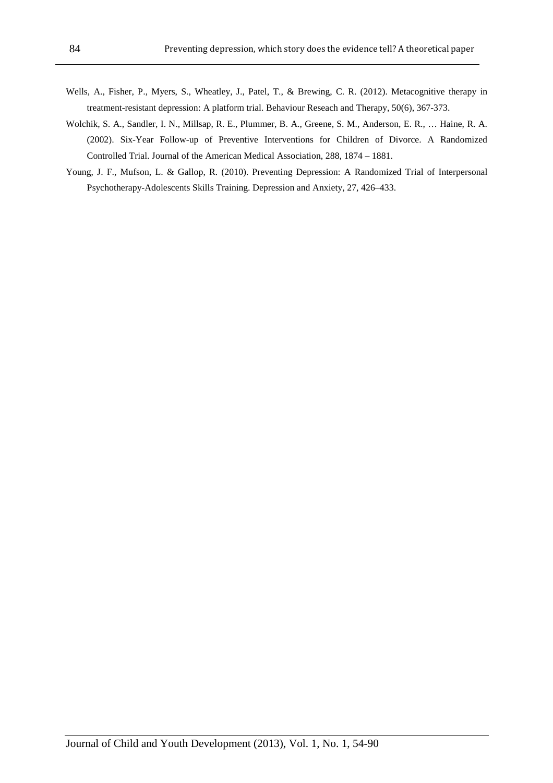- Wells, A., Fisher, P., Myers, S., Wheatley, J., Patel, T., & Brewing, C. R. (2012). Metacognitive therapy in treatment-resistant depression: A platform trial. Behaviour Reseach and Therapy, 50(6), 367-373.
- Wolchik, S. A., Sandler, I. N., Millsap, R. E., Plummer, B. A., Greene, S. M., Anderson, E. R., … Haine, R. A. (2002). Six-Year Follow-up of Preventive Interventions for Children of Divorce. A Randomized Controlled Trial. Journal of the American Medical Association, 288, 1874 – 1881.
- Young, J. F., Mufson, L. & Gallop, R. (2010). Preventing Depression: A Randomized Trial of Interpersonal Psychotherapy-Adolescents Skills Training. Depression and Anxiety, 27, 426–433.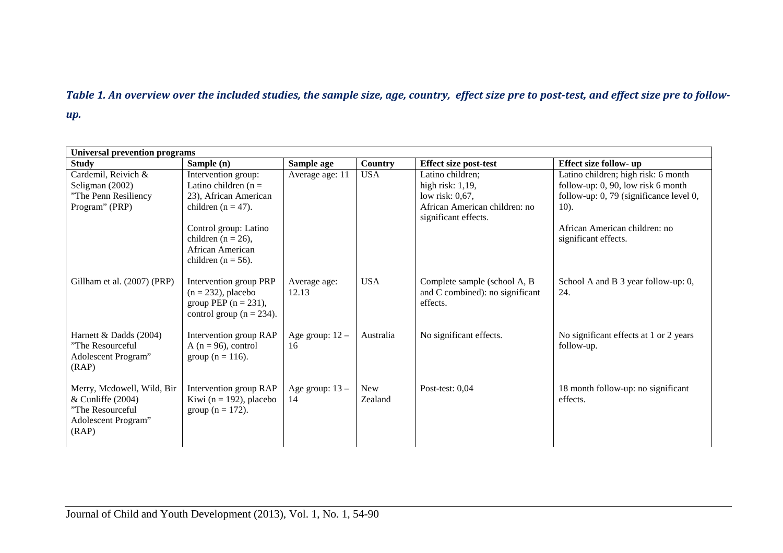### Table 1. An overview over the included studies, the sample size, age, country, effect size pre to post-test, and effect size pre to followup.

| <b>Universal prevention programs</b>                                                                  |                                                                                                            |                         |                       |                                                                             |                                                       |  |
|-------------------------------------------------------------------------------------------------------|------------------------------------------------------------------------------------------------------------|-------------------------|-----------------------|-----------------------------------------------------------------------------|-------------------------------------------------------|--|
| <b>Study</b>                                                                                          | Sample (n)                                                                                                 | Sample age              | Country               | <b>Effect size post-test</b>                                                | Effect size follow- up                                |  |
| Cardemil, Reivich &                                                                                   | Intervention group:                                                                                        | Average age: 11         | <b>USA</b>            | Latino children;                                                            | Latino children; high risk: 6 month                   |  |
| Seligman (2002)                                                                                       | Latino children ( $n =$                                                                                    |                         |                       | high risk: $1,19$ ,                                                         | follow-up: 0, 90, low risk 6 month                    |  |
| "The Penn Resiliency                                                                                  | 23), African American                                                                                      |                         |                       | low risk: 0,67,                                                             | follow-up: 0, 79 (significance level 0,               |  |
| Program" (PRP)                                                                                        | children ( $n = 47$ ).                                                                                     |                         |                       | African American children: no<br>significant effects.                       | 10).                                                  |  |
|                                                                                                       | Control group: Latino<br>children ( $n = 26$ ),<br>African American<br>children ( $n = 56$ ).              |                         |                       |                                                                             | African American children: no<br>significant effects. |  |
| Gillham et al. (2007) (PRP)                                                                           | Intervention group PRP<br>$(n = 232)$ , placebo<br>group PEP $(n = 231)$ ,<br>control group ( $n = 234$ ). | Average age:<br>12.13   | <b>USA</b>            | Complete sample (school A, B<br>and C combined): no significant<br>effects. | School A and B 3 year follow-up: 0,<br>24.            |  |
| Harnett & Dadds (2004)<br>"The Resourceful<br>Adolescent Program"<br>(RAP)                            | Intervention group RAP<br>A ( $n = 96$ ), control<br>group ( $n = 116$ ).                                  | Age group: $12 -$<br>16 | Australia             | No significant effects.                                                     | No significant effects at 1 or 2 years<br>follow-up.  |  |
| Merry, Mcdowell, Wild, Bir<br>$&$ Cunliffe (2004)<br>"The Resourceful<br>Adolescent Program"<br>(RAP) | Intervention group RAP<br>Kiwi ( $n = 192$ ), placebo<br>group ( $n = 172$ ).                              | Age group: $13 -$<br>14 | <b>New</b><br>Zealand | Post-test: $0,04$                                                           | 18 month follow-up: no significant<br>effects.        |  |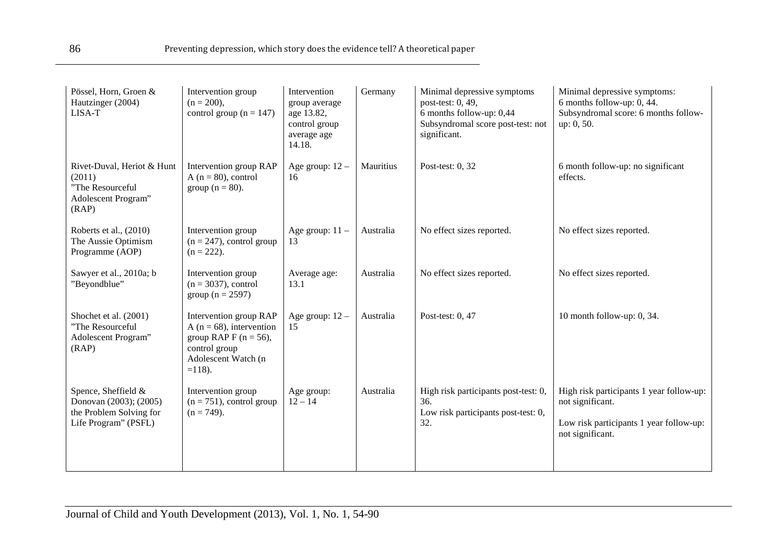| Pössel, Horn, Groen &<br>Hautzinger (2004)<br>LISA-T                                             | Intervention group<br>$(n = 200)$ ,<br>control group ( $n = 147$ )                                                                       | Intervention<br>group average<br>age 13.82,<br>control group<br>average age<br>14.18. | Germany   | Minimal depressive symptoms<br>post-test: 0, 49,<br>6 months follow-up: 0,44<br>Subsyndromal score post-test: not<br>significant. | Minimal depressive symptoms:<br>6 months follow-up: 0, 44.<br>Subsyndromal score: 6 months follow-<br>up: 0, 50.            |
|--------------------------------------------------------------------------------------------------|------------------------------------------------------------------------------------------------------------------------------------------|---------------------------------------------------------------------------------------|-----------|-----------------------------------------------------------------------------------------------------------------------------------|-----------------------------------------------------------------------------------------------------------------------------|
| Rivet-Duval, Heriot & Hunt<br>(2011)<br>"The Resourceful<br>Adolescent Program"<br>(RAP)         | Intervention group RAP<br>A ( $n = 80$ ), control<br>group ( $n = 80$ ).                                                                 | Age group: $12 -$<br>16                                                               | Mauritius | Post-test: 0, 32                                                                                                                  | 6 month follow-up: no significant<br>effects.                                                                               |
| Roberts et al., (2010)<br>The Aussie Optimism<br>Programme (AOP)                                 | Intervention group<br>$(n = 247)$ , control group<br>$(n = 222)$ .                                                                       | Age group: $11 -$<br>13                                                               | Australia | No effect sizes reported.                                                                                                         | No effect sizes reported.                                                                                                   |
| Sawyer et al., 2010a; b<br>"Beyondblue"                                                          | Intervention group<br>$(n = 3037)$ , control<br>group ( $n = 2597$ )                                                                     | Average age:<br>13.1                                                                  | Australia | No effect sizes reported.                                                                                                         | No effect sizes reported.                                                                                                   |
| Shochet et al. (2001)<br>"The Resourceful<br>Adolescent Program"<br>(RAP)                        | Intervention group RAP<br>A ( $n = 68$ ), intervention<br>group RAP F ( $n = 56$ ),<br>control group<br>Adolescent Watch (n<br>$=118$ ). | Age group: $12 -$<br>15                                                               | Australia | Post-test: 0, 47                                                                                                                  | 10 month follow-up: 0, 34.                                                                                                  |
| Spence, Sheffield &<br>Donovan (2003); (2005)<br>the Problem Solving for<br>Life Program" (PSFL) | Intervention group<br>$(n = 751)$ , control group<br>$(n = 749)$ .                                                                       | Age group:<br>$12 - 14$                                                               | Australia | High risk participants post-test: 0,<br>36.<br>Low risk participants post-test: 0,<br>32.                                         | High risk participants 1 year follow-up:<br>not significant.<br>Low risk participants 1 year follow-up:<br>not significant. |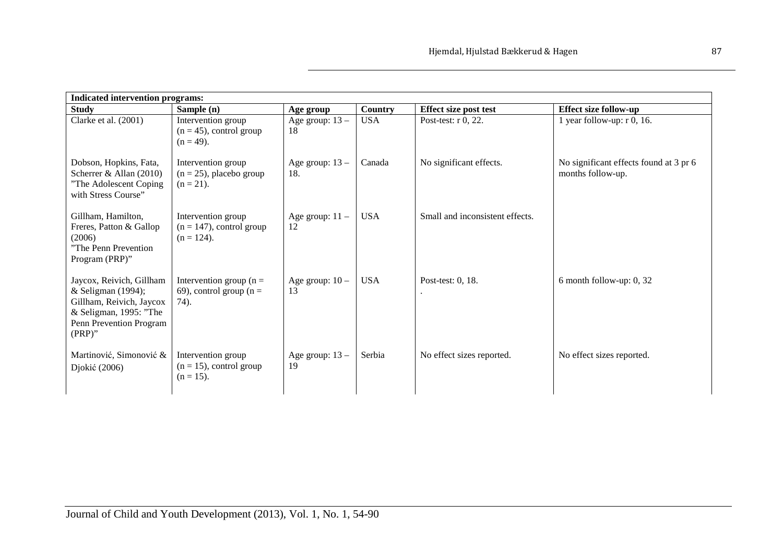| <b>Indicated intervention programs:</b>                                                                                                      |                                                                    |                          |            |                                 |                                                             |  |
|----------------------------------------------------------------------------------------------------------------------------------------------|--------------------------------------------------------------------|--------------------------|------------|---------------------------------|-------------------------------------------------------------|--|
| <b>Study</b>                                                                                                                                 | Sample (n)                                                         | Age group                | Country    | <b>Effect size post test</b>    | <b>Effect size follow-up</b>                                |  |
| Clarke et al. (2001)                                                                                                                         | Intervention group<br>$(n = 45)$ , control group<br>$(n = 49)$ .   | Age group: 13 -<br>18    | <b>USA</b> | Post-test: r 0, 22.             | 1 year follow-up: $r$ 0, 16.                                |  |
| Dobson, Hopkins, Fata,<br>Scherrer & Allan (2010)<br>"The Adolescent Coping<br>with Stress Course"                                           | Intervention group<br>$(n = 25)$ , placebo group<br>$(n = 21)$ .   | Age group: $13 -$<br>18. | Canada     | No significant effects.         | No significant effects found at 3 pr 6<br>months follow-up. |  |
| Gillham, Hamilton,<br>Freres, Patton & Gallop<br>(2006)<br>"The Penn Prevention<br>Program (PRP)"                                            | Intervention group<br>$(n = 147)$ , control group<br>$(n = 124)$ . | Age group: $11 -$<br>12  | <b>USA</b> | Small and inconsistent effects. |                                                             |  |
| Jaycox, Reivich, Gillham<br>& Seligman (1994);<br>Gillham, Reivich, Jaycox<br>& Seligman, 1995: "The<br>Penn Prevention Program<br>$(PRP)$ " | Intervention group ( $n =$<br>69), control group ( $n =$<br>74).   | Age group: $10 -$<br>13  | <b>USA</b> | Post-test: 0, 18.               | 6 month follow-up: $0, 32$                                  |  |
| Martinović, Simonović &<br>Djokić (2006)                                                                                                     | Intervention group<br>$(n = 15)$ , control group<br>$(n = 15)$ .   | Age group: $13 -$<br>19  | Serbia     | No effect sizes reported.       | No effect sizes reported.                                   |  |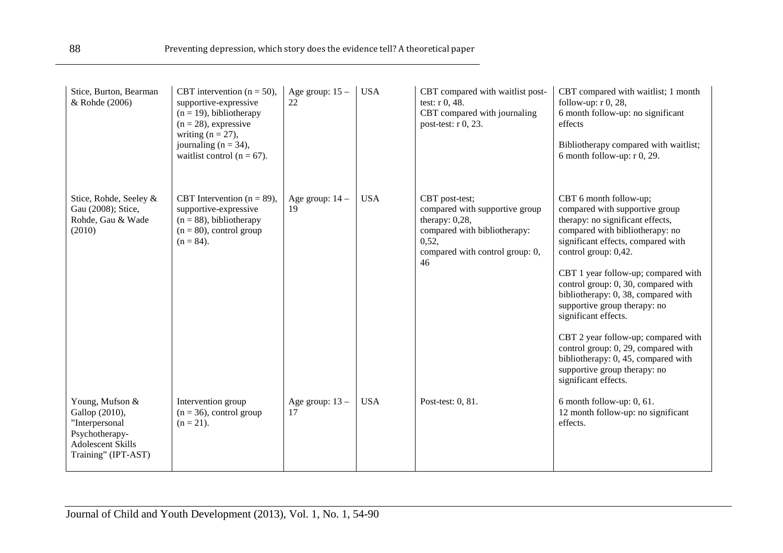| Stice, Burton, Bearman<br>& Rohde (2006)                                                                                 | CBT intervention ( $n = 50$ ),<br>supportive-expressive<br>$(n = 19)$ , bibliotherapy<br>$(n = 28)$ , expressive<br>writing $(n = 27)$ ,<br>journaling $(n = 34)$ ,<br>waitlist control ( $n = 67$ ). | Age group: $15 -$<br>$22\,$ | <b>USA</b> | CBT compared with waitlist post-<br>test: $r$ 0, 48.<br>CBT compared with journaling<br>post-test: r 0, 23.                                             | CBT compared with waitlist; 1 month<br>follow-up: $r$ 0, 28,<br>6 month follow-up: no significant<br>effects<br>Bibliotherapy compared with waitlist;<br>6 month follow-up: $r$ 0, 29.                                                                                                                                                                                                                                                                                                                                                                  |
|--------------------------------------------------------------------------------------------------------------------------|-------------------------------------------------------------------------------------------------------------------------------------------------------------------------------------------------------|-----------------------------|------------|---------------------------------------------------------------------------------------------------------------------------------------------------------|---------------------------------------------------------------------------------------------------------------------------------------------------------------------------------------------------------------------------------------------------------------------------------------------------------------------------------------------------------------------------------------------------------------------------------------------------------------------------------------------------------------------------------------------------------|
| Stice, Rohde, Seeley &<br>Gau (2008); Stice,<br>Rohde, Gau & Wade<br>(2010)                                              | CBT Intervention ( $n = 89$ ),<br>supportive-expressive<br>$(n = 88)$ , bibliotherapy<br>$(n = 80)$ , control group<br>$(n = 84)$ .                                                                   | Age group: $14$ –<br>19     | <b>USA</b> | CBT post-test;<br>compared with supportive group<br>therapy: $0,28$ ,<br>compared with bibliotherapy:<br>0,52,<br>compared with control group: 0,<br>46 | CBT 6 month follow-up;<br>compared with supportive group<br>therapy: no significant effects,<br>compared with bibliotherapy: no<br>significant effects, compared with<br>control group: 0,42.<br>CBT 1 year follow-up; compared with<br>control group: 0, 30, compared with<br>bibliotherapy: 0, 38, compared with<br>supportive group therapy: no<br>significant effects.<br>CBT 2 year follow-up; compared with<br>control group: 0, 29, compared with<br>bibliotherapy: 0, 45, compared with<br>supportive group therapy: no<br>significant effects. |
| Young, Mufson &<br>Gallop (2010),<br>"Interpersonal<br>Psychotherapy-<br><b>Adolescent Skills</b><br>Training" (IPT-AST) | Intervention group<br>$(n = 36)$ , control group<br>$(n = 21)$ .                                                                                                                                      | Age group: $13 -$<br>17     | <b>USA</b> | Post-test: 0, 81.                                                                                                                                       | 6 month follow-up: 0, 61.<br>12 month follow-up: no significant<br>effects.                                                                                                                                                                                                                                                                                                                                                                                                                                                                             |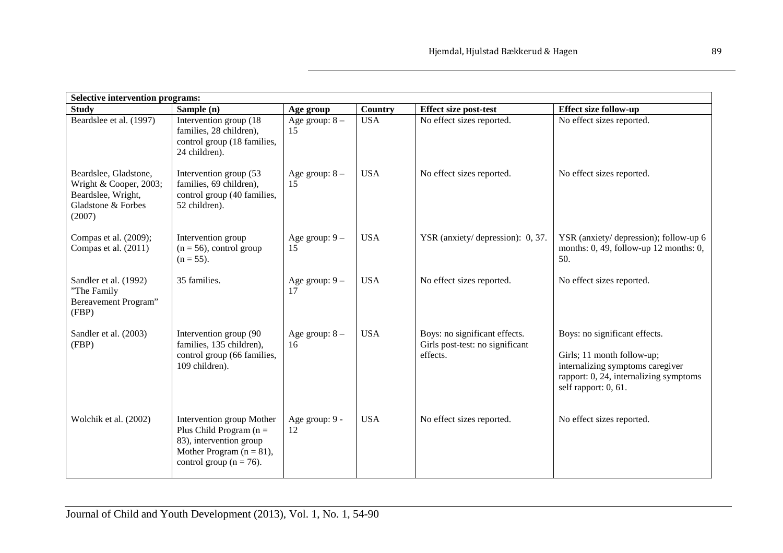| <b>Selective intervention programs:</b>                                                               |                                                                                                                                                  |                        |                |                                                                              |                                                                                                                                                                   |  |
|-------------------------------------------------------------------------------------------------------|--------------------------------------------------------------------------------------------------------------------------------------------------|------------------------|----------------|------------------------------------------------------------------------------|-------------------------------------------------------------------------------------------------------------------------------------------------------------------|--|
| <b>Study</b>                                                                                          | Sample (n)                                                                                                                                       | Age group              | <b>Country</b> | <b>Effect size post-test</b>                                                 | <b>Effect size follow-up</b>                                                                                                                                      |  |
| Beardslee et al. (1997)                                                                               | Intervention group (18)<br>families, 28 children),<br>control group (18 families,<br>24 children).                                               | Age group: $8-$<br>15  | <b>USA</b>     | No effect sizes reported.                                                    | No effect sizes reported.                                                                                                                                         |  |
| Beardslee, Gladstone,<br>Wright & Cooper, 2003;<br>Beardslee, Wright,<br>Gladstone & Forbes<br>(2007) | Intervention group (53<br>families, 69 children),<br>control group (40 families,<br>52 children).                                                | Age group: $8 -$<br>15 | <b>USA</b>     | No effect sizes reported.                                                    | No effect sizes reported.                                                                                                                                         |  |
| Compas et al. (2009);<br>Compas et al. (2011)                                                         | Intervention group<br>$(n = 56)$ , control group<br>$(n = 55)$ .                                                                                 | Age group: $9 -$<br>15 | <b>USA</b>     | YSR (anxiety/depression): 0, 37.                                             | YSR (anxiety/depression); follow-up 6<br>months: $0, 49$ , follow-up 12 months: $0$ ,<br>50.                                                                      |  |
| Sandler et al. (1992)<br>"The Family<br>Bereavement Program"<br>(FBP)                                 | 35 families.                                                                                                                                     | Age group: $9 -$<br>17 | <b>USA</b>     | No effect sizes reported.                                                    | No effect sizes reported.                                                                                                                                         |  |
| Sandler et al. (2003)<br>(FBP)                                                                        | Intervention group (90<br>families, 135 children),<br>control group (66 families,<br>109 children).                                              | Age group: $8 -$<br>16 | <b>USA</b>     | Boys: no significant effects.<br>Girls post-test: no significant<br>effects. | Boys: no significant effects.<br>Girls; 11 month follow-up;<br>internalizing symptoms caregiver<br>rapport: 0, 24, internalizing symptoms<br>self rapport: 0, 61. |  |
| Wolchik et al. (2002)                                                                                 | Intervention group Mother<br>Plus Child Program ( $n =$<br>83), intervention group<br>Mother Program $(n = 81)$ ,<br>control group ( $n = 76$ ). | Age group: 9 -<br>12   | <b>USA</b>     | No effect sizes reported.                                                    | No effect sizes reported.                                                                                                                                         |  |